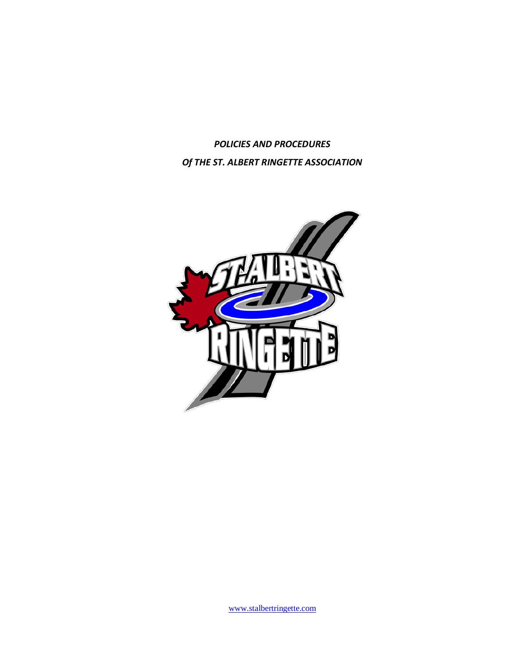*POLICIES AND PROCEDURES Of THE ST. ALBERT RINGETTE ASSOCIATION*

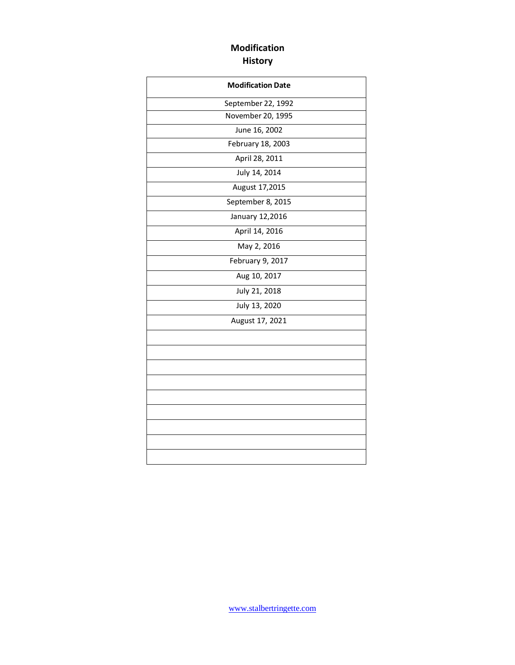### **Modification History**

| <b>Modification Date</b> |
|--------------------------|
| September 22, 1992       |
| November 20, 1995        |
| June 16, 2002            |
| February 18, 2003        |
| April 28, 2011           |
| July 14, 2014            |
| August 17,2015           |
| September 8, 2015        |
| January 12,2016          |
| April 14, 2016           |
| May 2, 2016              |
| February 9, 2017         |
| Aug 10, 2017             |
| July 21, 2018            |
| July 13, 2020            |
| August 17, 2021          |
|                          |
|                          |
|                          |
|                          |
|                          |
|                          |
|                          |
|                          |
|                          |
|                          |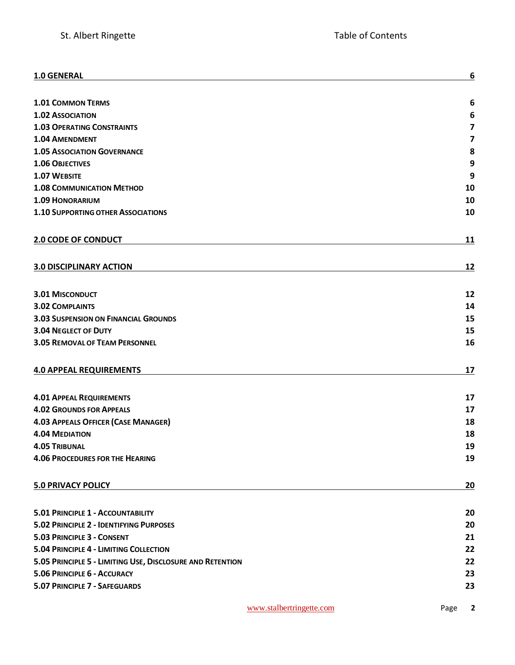| 1.0 GENERAL                                               | 6                       |
|-----------------------------------------------------------|-------------------------|
| <b>1.01 COMMON TERMS</b>                                  | 6                       |
| <b>1.02 ASSOCIATION</b>                                   | 6                       |
| <b>1.03 OPERATING CONSTRAINTS</b>                         | $\overline{\mathbf{z}}$ |
| <b>1.04 AMENDMENT</b>                                     | $\overline{\mathbf{z}}$ |
| <b>1.05 ASSOCIATION GOVERNANCE</b>                        | 8                       |
| <b>1.06 OBJECTIVES</b>                                    | 9                       |
| 1.07 WEBSITE                                              | 9                       |
| <b>1.08 COMMUNICATION METHOD</b>                          | 10                      |
| <b>1.09 HONORARIUM</b>                                    | 10                      |
| <b>1.10 SUPPORTING OTHER ASSOCIATIONS</b>                 | 10                      |
| <b>2.0 CODE OF CONDUCT</b>                                | 11                      |
| <b>3.0 DISCIPLINARY ACTION</b>                            | 12                      |
| <b>3.01 MISCONDUCT</b>                                    | 12                      |
| <b>3.02 COMPLAINTS</b>                                    | 14                      |
| <b>3.03 SUSPENSION ON FINANCIAL GROUNDS</b>               | 15                      |
| <b>3.04 NEGLECT OF DUTY</b>                               | 15                      |
| <b>3.05 REMOVAL OF TEAM PERSONNEL</b>                     | 16                      |
| <b>4.0 APPEAL REQUIREMENTS</b>                            | 17                      |
| <b>4.01 APPEAL REQUIREMENTS</b>                           | 17                      |
| <b>4.02 GROUNDS FOR APPEALS</b>                           | 17                      |
| <b>4.03 APPEALS OFFICER (CASE MANAGER)</b>                | 18                      |
| <b>4.04 MEDIATION</b>                                     | 18                      |
| <b>4.05 TRIBUNAL</b>                                      | 19                      |
| <b>4.06 PROCEDURES FOR THE HEARING</b>                    | 19                      |
| <b>5.0 PRIVACY POLICY</b>                                 | 20                      |
| 5.01 PRINCIPLE 1 - ACCOUNTABILITY                         | 20                      |
| 5.02 PRINCIPLE 2 - IDENTIFYING PURPOSES                   | 20                      |
| 5.03 PRINCIPLE 3 - CONSENT                                | 21                      |
| 5.04 PRINCIPLE 4 - LIMITING COLLECTION                    | 22                      |
| 5.05 PRINCIPLE 5 - LIMITING USE, DISCLOSURE AND RETENTION | 22                      |
| 5.06 PRINCIPLE 6 - ACCURACY                               | 23                      |
| 5.07 PRINCIPLE 7 - SAFEGUARDS                             | 23                      |
|                                                           |                         |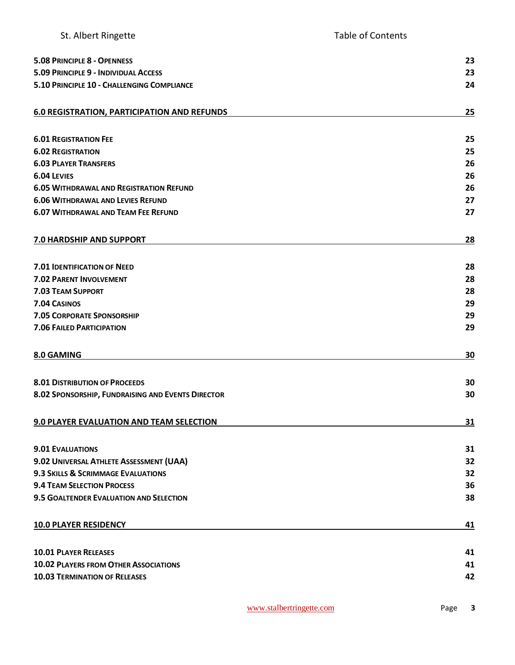| 5.08 PRINCIPLE 8 - OPENNESS                        | 23 |
|----------------------------------------------------|----|
| 5.09 PRINCIPLE 9 - INDIVIDUAL ACCESS               | 23 |
| 5.10 PRINCIPLE 10 - CHALLENGING COMPLIANCE         | 24 |
|                                                    |    |
| <b>6.0 REGISTRATION, PARTICIPATION AND REFUNDS</b> | 25 |
|                                                    |    |
| <b>6.01 REGISTRATION FEE</b>                       | 25 |
| <b>6.02 REGISTRATION</b>                           | 25 |
| <b>6.03 PLAYER TRANSFERS</b>                       | 26 |
| <b>6.04 LEVIES</b>                                 | 26 |
| <b>6.05 WITHDRAWAL AND REGISTRATION REFUND</b>     | 26 |
| <b>6.06 WITHDRAWAL AND LEVIES REFUND</b>           | 27 |
| <b>6.07 WITHDRAWAL AND TEAM FEE REFUND</b>         | 27 |
|                                                    |    |
| 7.0 HARDSHIP AND SUPPORT                           | 28 |
|                                                    |    |
| <b>7.01 IDENTIFICATION OF NEED</b>                 | 28 |
| <b>7.02 PARENT INVOLVEMENT</b>                     | 28 |
| <b>7.03 TEAM SUPPORT</b>                           | 28 |
| 7.04 CASINOS                                       | 29 |
| <b>7.05 CORPORATE SPONSORSHIP</b>                  | 29 |
| <b>7.06 FAILED PARTICIPATION</b>                   | 29 |
|                                                    |    |
|                                                    |    |
| 8.0 GAMING                                         | 30 |
|                                                    |    |
| <b>8.01 DISTRIBUTION OF PROCEEDS</b>               | 30 |
| 8.02 SPONSORSHIP, FUNDRAISING AND EVENTS DIRECTOR  | 30 |
|                                                    |    |
| 9.0 PLAYER EVALUATION AND TEAM SELECTION           | 31 |
|                                                    |    |
| <b>9.01 EVALUATIONS</b>                            | 31 |
| 9.02 UNIVERSAL ATHLETE ASSESSMENT (UAA)            | 32 |
| 9.3 SKILLS & SCRIMMAGE EVALUATIONS                 | 32 |
| <b>9.4 TEAM SELECTION PROCESS</b>                  | 36 |
| 9.5 GOALTENDER EVALUATION AND SELECTION            | 38 |
| <b>10.0 PLAYER RESIDENCY</b>                       | 41 |
|                                                    |    |
| <b>10.01 PLAYER RELEASES</b>                       | 41 |
| <b>10.02 PLAYERS FROM OTHER ASSOCIATIONS</b>       | 41 |
| <b>10.03 TERMINATION OF RELEASES</b>               | 42 |
|                                                    |    |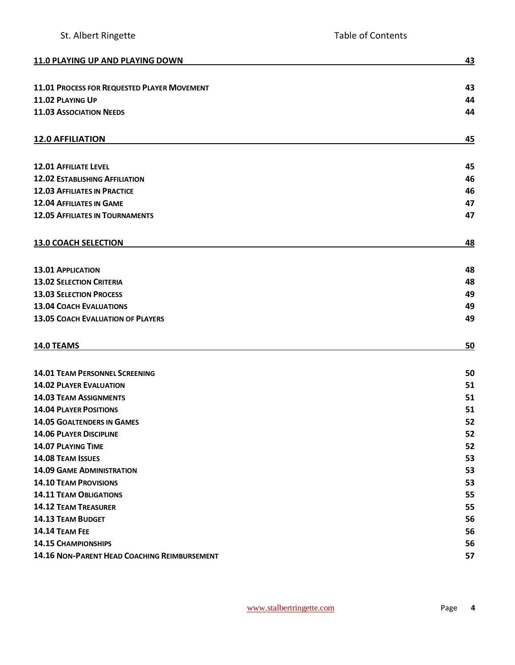| 11.0 PLAYING UP AND PLAYING DOWN             | 43 |
|----------------------------------------------|----|
|                                              |    |
| 11.01 PROCESS FOR REQUESTED PLAYER MOVEMENT  | 43 |
| 11.02 PLAYING UP                             | 44 |
| <b>11.03 ASSOCIATION NEEDS</b>               | 44 |
| <b>12.0 AFFILIATION</b>                      | 45 |
|                                              |    |
| <b>12.01 AFFILIATE LEVEL</b>                 | 45 |
| <b>12.02 ESTABLISHING AFFILIATION</b>        | 46 |
| <b>12.03 AFFILIATES IN PRACTICE</b>          | 46 |
| <b>12.04 AFFILIATES IN GAME</b>              | 47 |
| <b>12.05 AFFILIATES IN TOURNAMENTS</b>       | 47 |
| <b>13.0 COACH SELECTION</b>                  | 48 |
|                                              |    |
| <b>13.01 APPLICATION</b>                     | 48 |
| <b>13.02 SELECTION CRITERIA</b>              | 48 |
| <b>13.03 SELECTION PROCESS</b>               | 49 |
| <b>13.04 COACH EVALUATIONS</b>               | 49 |
| <b>13.05 COACH EVALUATION OF PLAYERS</b>     | 49 |
| 14.0 TEAMS                                   | 50 |
| <b>14.01 TEAM PERSONNEL SCREENING</b>        | 50 |
| <b>14.02 PLAYER EVALUATION</b>               | 51 |
| <b>14.03 TEAM ASSIGNMENTS</b>                | 51 |
| <b>14.04 PLAYER POSITIONS</b>                | 51 |
| <b>14.05 GOALTENDERS IN GAMES</b>            | 52 |
| <b>14.06 PLAYER DISCIPLINE</b>               | 52 |
| <b>14.07 PLAYING TIME</b>                    | 52 |
| 14.08 TEAM ISSUES                            | 53 |
| <b>14.09 GAME ADMINISTRATION</b>             | 53 |
| <b>14.10 TEAM PROVISIONS</b>                 | 53 |
| <b>14.11 TEAM OBLIGATIONS</b>                | 55 |
| <b>14.12 TEAM TREASURER</b>                  | 55 |
| <b>14.13 TEAM BUDGET</b>                     | 56 |
| 14.14 TEAM FEE                               | 56 |
| <b>14.15 CHAMPIONSHIPS</b>                   | 56 |
| 14.16 NON-PARENT HEAD COACHING REIMBURSEMENT | 57 |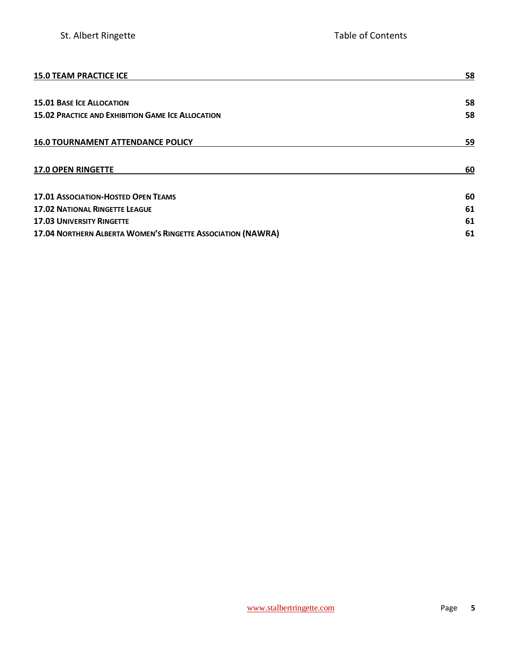| <b>15.0 TEAM PRACTICE ICE</b>                               | 58 |
|-------------------------------------------------------------|----|
|                                                             |    |
| <b>15.01 BASE ICE ALLOCATION</b>                            | 58 |
| <b>15.02 PRACTICE AND EXHIBITION GAME ICE ALLOCATION</b>    | 58 |
| <b>16.0 TOURNAMENT ATTENDANCE POLICY</b>                    | 59 |
| <b>17.0 OPEN RINGETTE</b>                                   | 60 |
| <b>17.01 ASSOCIATION-HOSTED OPEN TEAMS</b>                  | 60 |
| <b>17.02 NATIONAL RINGETTE LEAGUE</b>                       | 61 |
| <b>17.03 UNIVERSITY RINGETTE</b>                            | 61 |
| 17.04 NORTHERN ALBERTA WOMEN'S RINGETTE ASSOCIATION (NAWRA) | 61 |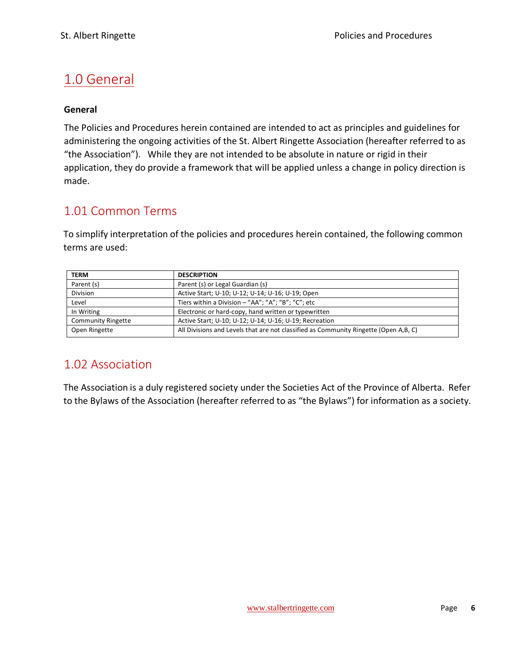# <span id="page-6-0"></span>1.0 General

#### **General**

The Policies and Procedures herein contained are intended to act as principles and guidelines for administering the ongoing activities of the St. Albert Ringette Association (hereafter referred to as "the Association"). While they are not intended to be absolute in nature or rigid in their application, they do provide a framework that will be applied unless a change in policy direction is made.

### <span id="page-6-1"></span>1.01 Common Terms

To simplify interpretation of the policies and procedures herein contained, the following common terms are used:

| <b>TERM</b>               | <b>DESCRIPTION</b>                                                                   |
|---------------------------|--------------------------------------------------------------------------------------|
| Parent (s)                | Parent (s) or Legal Guardian (s)                                                     |
| <b>Division</b>           | Active Start; U-10; U-12; U-14; U-16; U-19; Open                                     |
| Level                     | Tiers within a Division - "AA"; "A"; "B"; "C"; etc                                   |
| In Writing                | Electronic or hard-copy, hand written or typewritten                                 |
| <b>Community Ringette</b> | Active Start; U-10; U-12; U-14; U-16; U-19; Recreation                               |
| Open Ringette             | All Divisions and Levels that are not classified as Community Ringette (Open A,B, C) |

### <span id="page-6-2"></span>1.02 Association

The Association is a duly registered society under the Societies Act of the Province of Alberta. Refer to the Bylaws of the Association (hereafter referred to as "the Bylaws") for information as a society.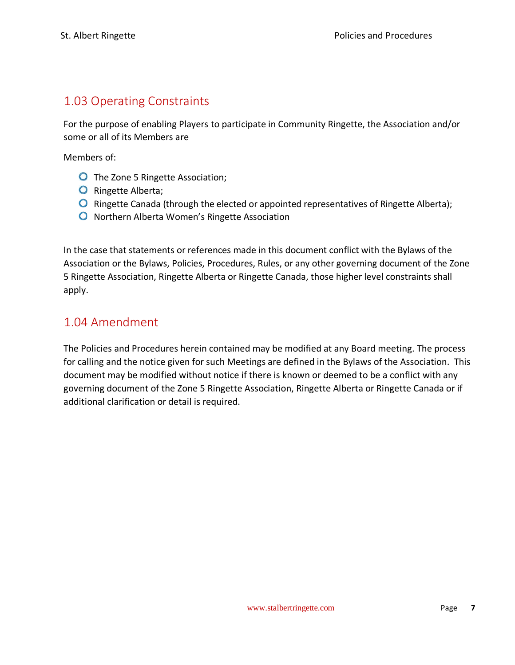### <span id="page-7-0"></span>1.03 Operating Constraints

For the purpose of enabling Players to participate in Community Ringette, the Association and/or some or all of its Members are

Members of:

- **O** The Zone 5 Ringette Association;
- O Ringette Alberta;
- $\bullet$  Ringette Canada (through the elected or appointed representatives of Ringette Alberta);
- **O** Northern Alberta Women's Ringette Association

In the case that statements or references made in this document conflict with the Bylaws of the Association or the Bylaws, Policies, Procedures, Rules, or any other governing document of the Zone 5 Ringette Association, Ringette Alberta or Ringette Canada, those higher level constraints shall apply.

### <span id="page-7-1"></span>1.04 Amendment

The Policies and Procedures herein contained may be modified at any Board meeting. The process for calling and the notice given for such Meetings are defined in the Bylaws of the Association. This document may be modified without notice if there is known or deemed to be a conflict with any governing document of the Zone 5 Ringette Association, Ringette Alberta or Ringette Canada or if additional clarification or detail is required.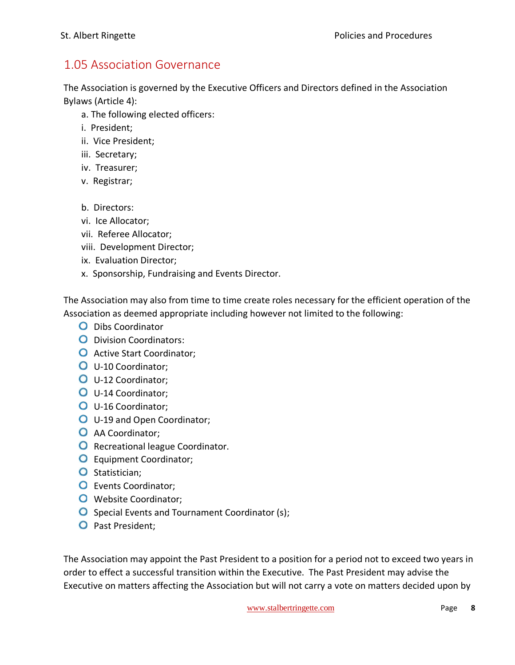### <span id="page-8-0"></span>1.05 Association Governance

The Association is governed by the Executive Officers and Directors defined in the Association Bylaws (Article 4):

- a. The following elected officers:
- i. President;
- ii. Vice President;
- iii. Secretary;
- iv. Treasurer;
- v. Registrar;
- b. Directors:
- vi. Ice Allocator;
- vii. Referee Allocator;
- viii. Development Director;
- ix. Evaluation Director;
- x. Sponsorship, Fundraising and Events Director.

The Association may also from time to time create roles necessary for the efficient operation of the Association as deemed appropriate including however not limited to the following:

- **O** Dibs Coordinator
- **O** Division Coordinators:
- **O** Active Start Coordinator;
- **O** U-10 Coordinator;
- U-12 Coordinator;
- U-14 Coordinator;
- U-16 Coordinator;
- **O** U-19 and Open Coordinator;
- **O** AA Coordinator;
- **O** Recreational league Coordinator.
- **O** Equipment Coordinator;
- O Statistician:
- **O** Events Coordinator;
- **O** Website Coordinator;
- O Special Events and Tournament Coordinator (s);
- O Past President:

The Association may appoint the Past President to a position for a period not to exceed two years in order to effect a successful transition within the Executive. The Past President may advise the Executive on matters affecting the Association but will not carry a vote on matters decided upon by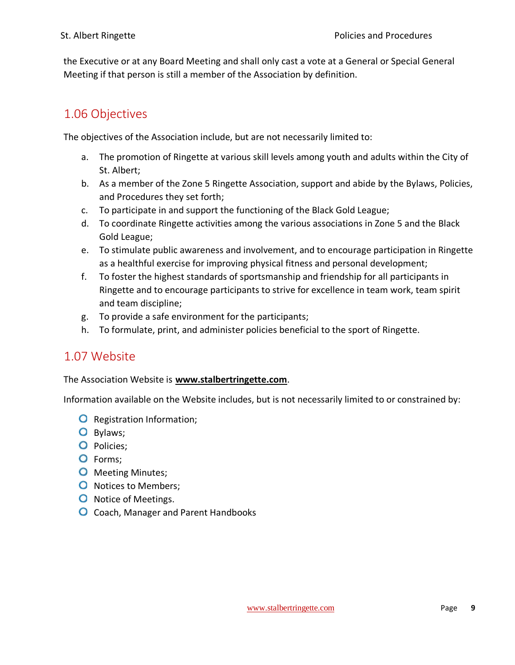the Executive or at any Board Meeting and shall only cast a vote at a General or Special General Meeting if that person is still a member of the Association by definition.

### <span id="page-9-0"></span>1.06 Objectives

The objectives of the Association include, but are not necessarily limited to:

- a. The promotion of Ringette at various skill levels among youth and adults within the City of St. Albert;
- b. As a member of the Zone 5 Ringette Association, support and abide by the Bylaws, Policies, and Procedures they set forth;
- c. To participate in and support the functioning of the Black Gold League;
- d. To coordinate Ringette activities among the various associations in Zone 5 and the Black Gold League;
- e. To stimulate public awareness and involvement, and to encourage participation in Ringette as a healthful exercise for improving physical fitness and personal development;
- f. To foster the highest standards of sportsmanship and friendship for all participants in Ringette and to encourage participants to strive for excellence in team work, team spirit and team discipline;
- g. To provide a safe environment for the participants;
- h. To formulate, print, and administer policies beneficial to the sport of Ringette.

### <span id="page-9-1"></span>1.07 Website

#### The Association Website is **[www.stalbertringette.com](http://www.stalbertringette.com/)**.

Information available on the Website includes, but is not necessarily limited to or constrained by:

- **O** Registration Information;
- O Bylaws;
- O Policies;
- O Forms;
- **O** Meeting Minutes;
- **O** Notices to Members;
- **O** Notice of Meetings.
- **O** Coach, Manager and Parent Handbooks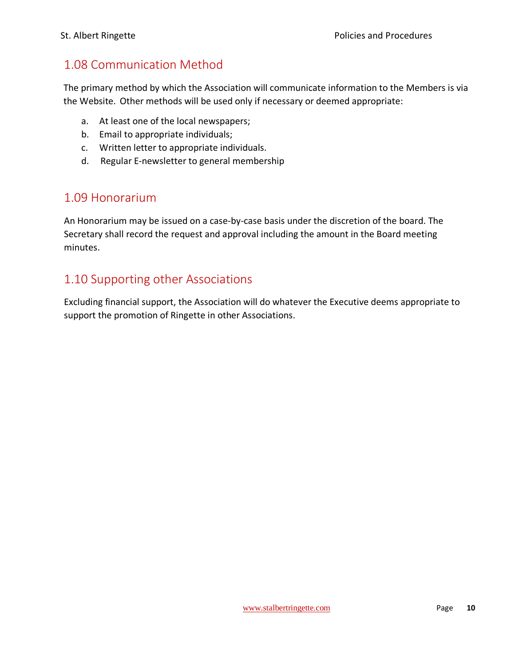### <span id="page-10-0"></span>1.08 Communication Method

The primary method by which the Association will communicate information to the Members is via the Website. Other methods will be used only if necessary or deemed appropriate:

- a. At least one of the local newspapers;
- b. Email to appropriate individuals;
- c. Written letter to appropriate individuals.
- d. Regular E-newsletter to general membership

### <span id="page-10-1"></span>1.09 Honorarium

An Honorarium may be issued on a case-by-case basis under the discretion of the board. The Secretary shall record the request and approval including the amount in the Board meeting minutes.

### <span id="page-10-2"></span>1.10 Supporting other Associations

Excluding financial support, the Association will do whatever the Executive deems appropriate to support the promotion of Ringette in other Associations.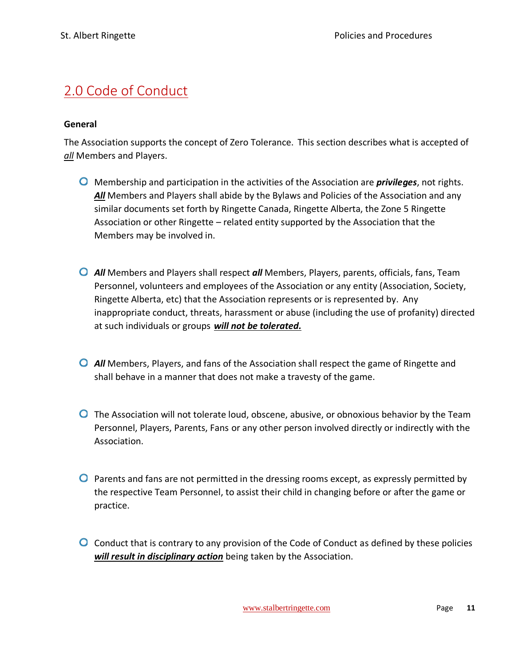# <span id="page-11-0"></span>2.0 Code of Conduct

#### **General**

The Association supports the concept of Zero Tolerance. This section describes what is accepted of *all* Members and Players.

- Membership and participation in the activities of the Association are *privileges*, not rights. *All* Members and Players shall abide by the Bylaws and Policies of the Association and any similar documents set forth by Ringette Canada, Ringette Alberta, the Zone 5 Ringette Association or other Ringette – related entity supported by the Association that the Members may be involved in.
- *All* Members and Players shall respect *all* Members, Players, parents, officials, fans, Team Personnel, volunteers and employees of the Association or any entity (Association, Society, Ringette Alberta, etc) that the Association represents or is represented by. Any inappropriate conduct, threats, harassment or abuse (including the use of profanity) directed at such individuals or groups *will not be tolerated.*
- *All* Members, Players, and fans of the Association shall respect the game of Ringette and shall behave in a manner that does not make a travesty of the game.
- **O** The Association will not tolerate loud, obscene, abusive, or obnoxious behavior by the Team Personnel, Players, Parents, Fans or any other person involved directly or indirectly with the Association.
- **P** Parents and fans are not permitted in the dressing rooms except, as expressly permitted by the respective Team Personnel, to assist their child in changing before or after the game or practice.
- **O** Conduct that is contrary to any provision of the Code of Conduct as defined by these policies *will result in disciplinary action* being taken by the Association.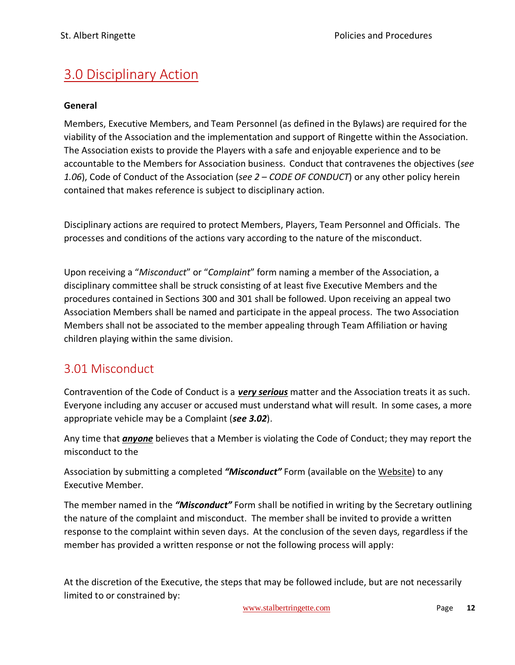# <span id="page-12-0"></span>3.0 Disciplinary Action

#### **General**

Members, Executive Members, and Team Personnel (as defined in the Bylaws) are required for the viability of the Association and the implementation and support of Ringette within the Association. The Association exists to provide the Players with a safe and enjoyable experience and to be accountable to the Members for Association business. Conduct that contravenes the objectives (*see 1.06*), Code of Conduct of the Association (*see 2 – CODE OF CONDUCT*) or any other policy herein contained that makes reference is subject to disciplinary action.

Disciplinary actions are required to protect Members, Players, Team Personnel and Officials. The processes and conditions of the actions vary according to the nature of the misconduct.

Upon receiving a "*Misconduct*" or "*Complaint*" form naming a member of the Association, a disciplinary committee shall be struck consisting of at least five Executive Members and the procedures contained in Sections 300 and 301 shall be followed. Upon receiving an appeal two Association Members shall be named and participate in the appeal process. The two Association Members shall not be associated to the member appealing through Team Affiliation or having children playing within the same division.

### <span id="page-12-1"></span>3.01 Misconduct

Contravention of the Code of Conduct is a *very serious* matter and the Association treats it as such. Everyone including any accuser or accused must understand what will result. In some cases, a more appropriate vehicle may be a Complaint (*see 3.02*).

Any time that *anyone* believes that a Member is violating the Code of Conduct; they may report the misconduct to the

Association by submitting a completed *"Misconduct"* Form (available on the Website) to any Executive Member.

The member named in the *"Misconduct"* Form shall be notified in writing by the Secretary outlining the nature of the complaint and misconduct. The member shall be invited to provide a written response to the complaint within seven days. At the conclusion of the seven days, regardless if the member has provided a written response or not the following process will apply:

At the discretion of the Executive, the steps that may be followed include, but are not necessarily limited to or constrained by: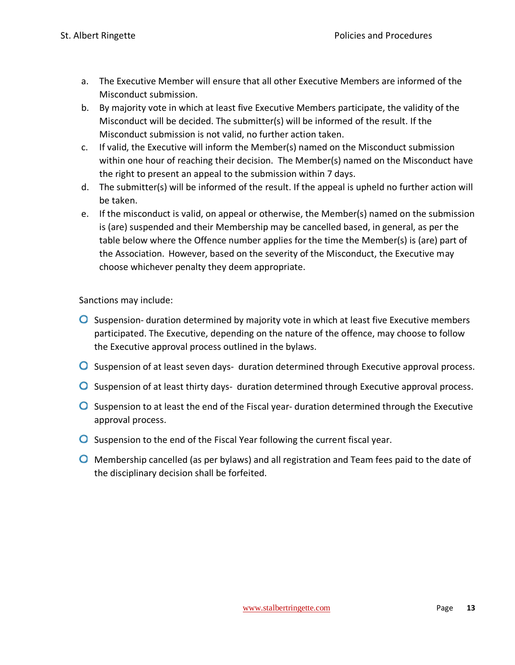- a. The Executive Member will ensure that all other Executive Members are informed of the Misconduct submission.
- b. By majority vote in which at least five Executive Members participate, the validity of the Misconduct will be decided. The submitter(s) will be informed of the result. If the Misconduct submission is not valid, no further action taken.
- c. If valid, the Executive will inform the Member(s) named on the Misconduct submission within one hour of reaching their decision. The Member(s) named on the Misconduct have the right to present an appeal to the submission within 7 days.
- d. The submitter(s) will be informed of the result. If the appeal is upheld no further action will be taken.
- e. If the misconduct is valid, on appeal or otherwise, the Member(s) named on the submission is (are) suspended and their Membership may be cancelled based, in general, as per the table below where the Offence number applies for the time the Member(s) is (are) part of the Association. However, based on the severity of the Misconduct, the Executive may choose whichever penalty they deem appropriate.

Sanctions may include:

- **O** Suspension- duration determined by majority vote in which at least five Executive members participated. The Executive, depending on the nature of the offence, may choose to follow the Executive approval process outlined in the bylaws.
- O Suspension of at least seven days- duration determined through Executive approval process.
- **O** Suspension of at least thirty days- duration determined through Executive approval process.
- **O** Suspension to at least the end of the Fiscal year- duration determined through the Executive approval process.
- $\bullet$  Suspension to the end of the Fiscal Year following the current fiscal year.
- **O** Membership cancelled (as per bylaws) and all registration and Team fees paid to the date of the disciplinary decision shall be forfeited.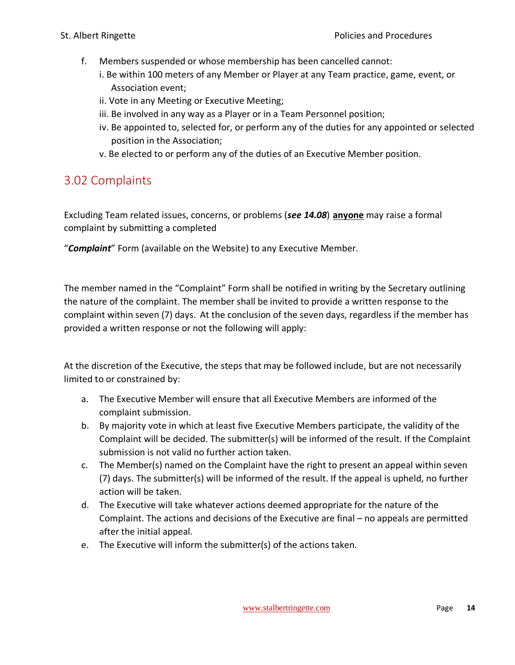- f. Members suspended or whose membership has been cancelled cannot:
	- i. Be within 100 meters of any Member or Player at any Team practice, game, event, or Association event;
	- ii. Vote in any Meeting or Executive Meeting;
	- iii. Be involved in any way as a Player or in a Team Personnel position;
	- iv. Be appointed to, selected for, or perform any of the duties for any appointed or selected position in the Association;
	- v. Be elected to or perform any of the duties of an Executive Member position.

### <span id="page-14-0"></span>3.02 Complaints

Excluding Team related issues, concerns, or problems (*see 14.08*) **anyone** may raise a formal complaint by submitting a completed

"*Complaint*" Form (available on the Website) to any Executive Member.

The member named in the "Complaint" Form shall be notified in writing by the Secretary outlining the nature of the complaint. The member shall be invited to provide a written response to the complaint within seven (7) days. At the conclusion of the seven days, regardless if the member has provided a written response or not the following will apply:

At the discretion of the Executive, the steps that may be followed include, but are not necessarily limited to or constrained by:

- a. The Executive Member will ensure that all Executive Members are informed of the complaint submission.
- b. By majority vote in which at least five Executive Members participate, the validity of the Complaint will be decided. The submitter(s) will be informed of the result. If the Complaint submission is not valid no further action taken.
- c. The Member(s) named on the Complaint have the right to present an appeal within seven (7) days. The submitter(s) will be informed of the result. If the appeal is upheld, no further action will be taken.
- d. The Executive will take whatever actions deemed appropriate for the nature of the Complaint. The actions and decisions of the Executive are final – no appeals are permitted after the initial appeal.
- e. The Executive will inform the submitter(s) of the actions taken.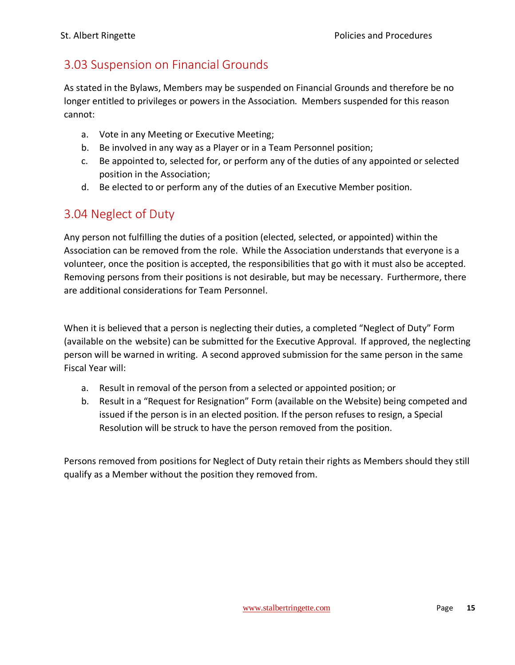### <span id="page-15-0"></span>3.03 Suspension on Financial Grounds

As stated in the Bylaws, Members may be suspended on Financial Grounds and therefore be no longer entitled to privileges or powers in the Association. Members suspended for this reason cannot:

- a. Vote in any Meeting or Executive Meeting;
- b. Be involved in any way as a Player or in a Team Personnel position;
- c. Be appointed to, selected for, or perform any of the duties of any appointed or selected position in the Association;
- d. Be elected to or perform any of the duties of an Executive Member position.

### <span id="page-15-1"></span>3.04 Neglect of Duty

Any person not fulfilling the duties of a position (elected, selected, or appointed) within the Association can be removed from the role. While the Association understands that everyone is a volunteer, once the position is accepted, the responsibilities that go with it must also be accepted. Removing persons from their positions is not desirable, but may be necessary. Furthermore, there are additional considerations for Team Personnel.

When it is believed that a person is neglecting their duties, a completed "Neglect of Duty" Form (available on the website) can be submitted for the Executive Approval. If approved, the neglecting person will be warned in writing. A second approved submission for the same person in the same Fiscal Year will:

- a. Result in removal of the person from a selected or appointed position; or
- b. Result in a "Request for Resignation" Form (available on the Website) being competed and issued if the person is in an elected position. If the person refuses to resign, a Special Resolution will be struck to have the person removed from the position.

Persons removed from positions for Neglect of Duty retain their rights as Members should they still qualify as a Member without the position they removed from.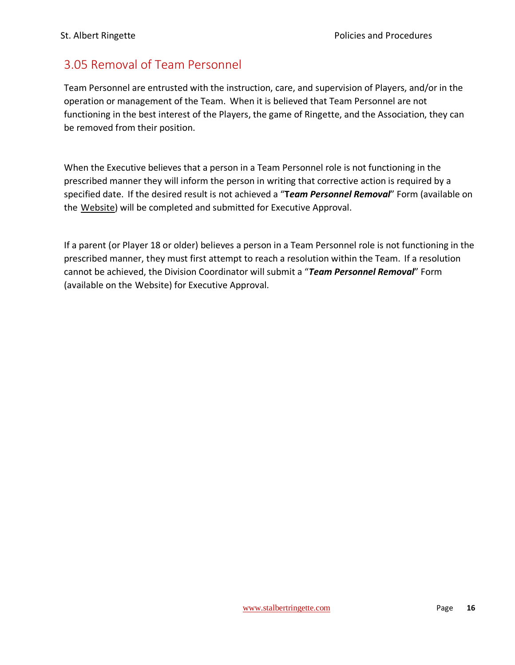### <span id="page-16-0"></span>3.05 Removal of Team Personnel

Team Personnel are entrusted with the instruction, care, and supervision of Players, and/or in the operation or management of the Team. When it is believed that Team Personnel are not functioning in the best interest of the Players, the game of Ringette, and the Association, they can be removed from their position.

When the Executive believes that a person in a Team Personnel role is not functioning in the prescribed manner they will inform the person in writing that corrective action is required by a specified date. If the desired result is not achieved a "**T***eam Personnel Removal*" Form (available on the Website) will be completed and submitted for Executive Approval.

If a parent (or Player 18 or older) believes a person in a Team Personnel role is not functioning in the prescribed manner, they must first attempt to reach a resolution within the Team. If a resolution cannot be achieved, the Division Coordinator will submit a "*Team Personnel Removal*" Form (available on the Website) for Executive Approval.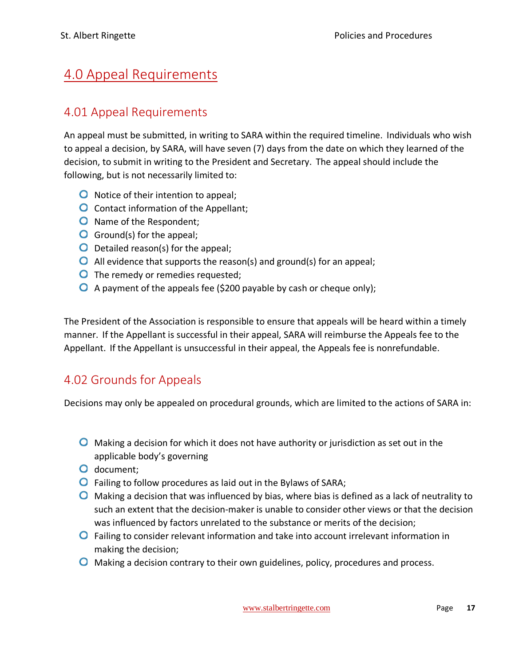# <span id="page-17-0"></span>4.0 Appeal Requirements

### <span id="page-17-1"></span>4.01 Appeal Requirements

An appeal must be submitted, in writing to SARA within the required timeline. Individuals who wish to appeal a decision, by SARA, will have seven (7) days from the date on which they learned of the decision, to submit in writing to the President and Secretary. The appeal should include the following, but is not necessarily limited to:

- **O** Notice of their intention to appeal;
- **O** Contact information of the Appellant;
- O Name of the Respondent;
- **O** Ground(s) for the appeal;
- **O** Detailed reason(s) for the appeal;
- All evidence that supports the reason(s) and ground(s) for an appeal;
- **O** The remedy or remedies requested;
- $\bullet$  A payment of the appeals fee (\$200 payable by cash or cheque only);

The President of the Association is responsible to ensure that appeals will be heard within a timely manner. If the Appellant is successful in their appeal, SARA will reimburse the Appeals fee to the Appellant. If the Appellant is unsuccessful in their appeal, the Appeals fee is nonrefundable.

### <span id="page-17-2"></span>4.02 Grounds for Appeals

Decisions may only be appealed on procedural grounds, which are limited to the actions of SARA in:

- $\bullet$  Making a decision for which it does not have authority or jurisdiction as set out in the applicable body's governing
- O document;
- Failing to follow procedures as laid out in the Bylaws of SARA;
- $\bullet$  Making a decision that was influenced by bias, where bias is defined as a lack of neutrality to such an extent that the decision-maker is unable to consider other views or that the decision was influenced by factors unrelated to the substance or merits of the decision;
- **O** Failing to consider relevant information and take into account irrelevant information in making the decision;
- **O** Making a decision contrary to their own guidelines, policy, procedures and process.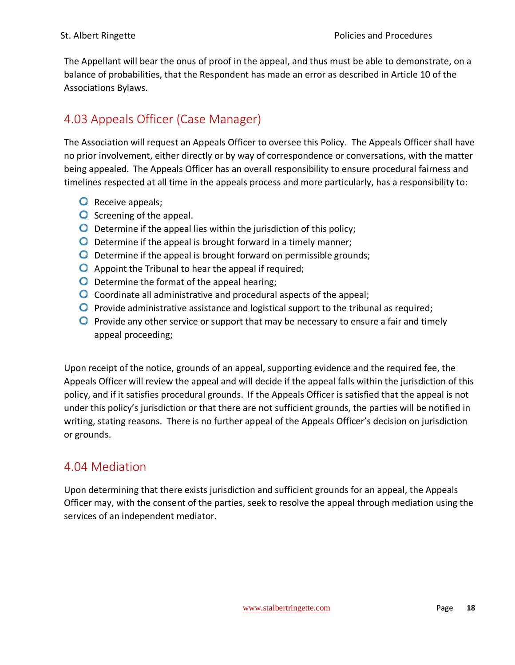The Appellant will bear the onus of proof in the appeal, and thus must be able to demonstrate, on a balance of probabilities, that the Respondent has made an error as described in Article 10 of the Associations Bylaws.

# <span id="page-18-0"></span>4.03 Appeals Officer (Case Manager)

The Association will request an Appeals Officer to oversee this Policy. The Appeals Officer shall have no prior involvement, either directly or by way of correspondence or conversations, with the matter being appealed. The Appeals Officer has an overall responsibility to ensure procedural fairness and timelines respected at all time in the appeals process and more particularly, has a responsibility to:

- **O** Receive appeals;
- **O** Screening of the appeal.
- $\overline{O}$  Determine if the appeal lies within the jurisdiction of this policy;
- $\bullet$  Determine if the appeal is brought forward in a timely manner;
- O Determine if the appeal is brought forward on permissible grounds;
- $\bullet$  Appoint the Tribunal to hear the appeal if required;
- O Determine the format of the appeal hearing;
- O Coordinate all administrative and procedural aspects of the appeal;
- **O** Provide administrative assistance and logistical support to the tribunal as required;
- **P** Provide any other service or support that may be necessary to ensure a fair and timely appeal proceeding;

Upon receipt of the notice, grounds of an appeal, supporting evidence and the required fee, the Appeals Officer will review the appeal and will decide if the appeal falls within the jurisdiction of this policy, and if it satisfies procedural grounds. If the Appeals Officer is satisfied that the appeal is not under this policy's jurisdiction or that there are not sufficient grounds, the parties will be notified in writing, stating reasons. There is no further appeal of the Appeals Officer's decision on jurisdiction or grounds.

### <span id="page-18-1"></span>4.04 Mediation

Upon determining that there exists jurisdiction and sufficient grounds for an appeal, the Appeals Officer may, with the consent of the parties, seek to resolve the appeal through mediation using the services of an independent mediator.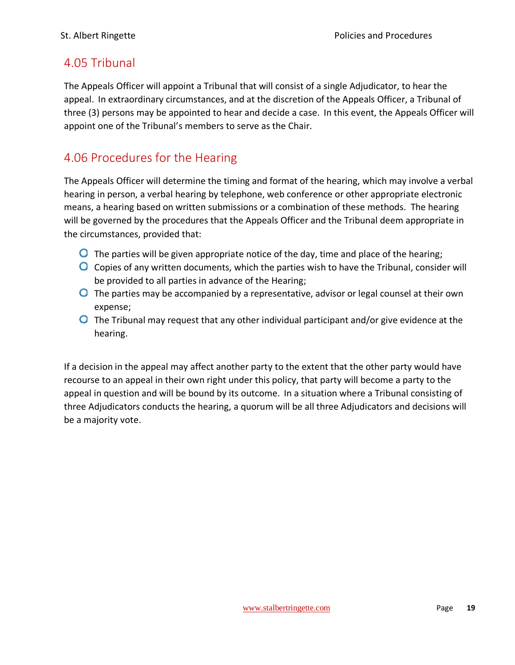### <span id="page-19-0"></span>4.05 Tribunal

The Appeals Officer will appoint a Tribunal that will consist of a single Adjudicator, to hear the appeal. In extraordinary circumstances, and at the discretion of the Appeals Officer, a Tribunal of three (3) persons may be appointed to hear and decide a case. In this event, the Appeals Officer will appoint one of the Tribunal's members to serve as the Chair.

### <span id="page-19-1"></span>4.06 Procedures for the Hearing

The Appeals Officer will determine the timing and format of the hearing, which may involve a verbal hearing in person, a verbal hearing by telephone, web conference or other appropriate electronic means, a hearing based on written submissions or a combination of these methods. The hearing will be governed by the procedures that the Appeals Officer and the Tribunal deem appropriate in the circumstances, provided that:

- $\bullet$  The parties will be given appropriate notice of the day, time and place of the hearing;
- $\bullet$  Copies of any written documents, which the parties wish to have the Tribunal, consider will be provided to all parties in advance of the Hearing;
- **O** The parties may be accompanied by a representative, advisor or legal counsel at their own expense;
- **O** The Tribunal may request that any other individual participant and/or give evidence at the hearing.

If a decision in the appeal may affect another party to the extent that the other party would have recourse to an appeal in their own right under this policy, that party will become a party to the appeal in question and will be bound by its outcome. In a situation where a Tribunal consisting of three Adjudicators conducts the hearing, a quorum will be all three Adjudicators and decisions will be a majority vote.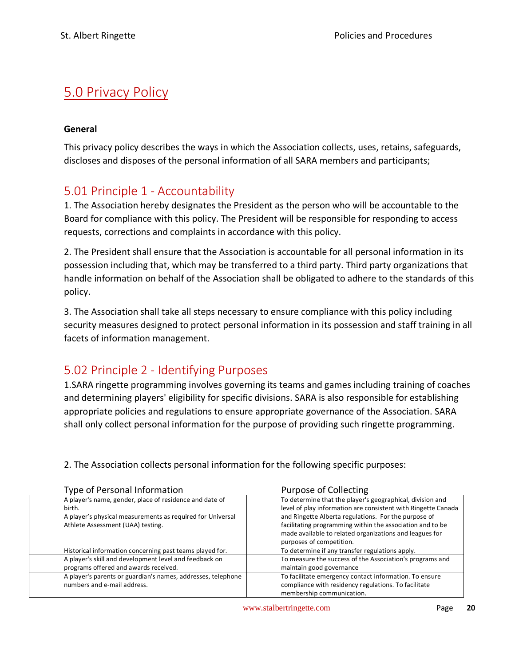# <span id="page-20-0"></span>5.0 Privacy Policy

#### **General**

This privacy policy describes the ways in which the Association collects, uses, retains, safeguards, discloses and disposes of the personal information of all SARA members and participants;

### <span id="page-20-1"></span>5.01 Principle 1 - Accountability

1. The Association hereby designates the President as the person who will be accountable to the Board for compliance with this policy. The President will be responsible for responding to access requests, corrections and complaints in accordance with this policy.

2. The President shall ensure that the Association is accountable for all personal information in its possession including that, which may be transferred to a third party. Third party organizations that handle information on behalf of the Association shall be obligated to adhere to the standards of this policy.

3. The Association shall take all steps necessary to ensure compliance with this policy including security measures designed to protect personal information in its possession and staff training in all facets of information management.

### <span id="page-20-2"></span>5.02 Principle 2 - Identifying Purposes

1.SARA ringette programming involves governing its teams and games including training of coaches and determining players' eligibility for specific divisions. SARA is also responsible for establishing appropriate policies and regulations to ensure appropriate governance of the Association. SARA shall only collect personal information for the purpose of providing such ringette programming.

2. The Association collects personal information for the following specific purposes:

| Type of Personal Information                                                                                                                                         | Purpose of Collecting                                                                                                                                                                                                                                                                                                                  |
|----------------------------------------------------------------------------------------------------------------------------------------------------------------------|----------------------------------------------------------------------------------------------------------------------------------------------------------------------------------------------------------------------------------------------------------------------------------------------------------------------------------------|
| A player's name, gender, place of residence and date of<br>birth.<br>A player's physical measurements as required for Universal<br>Athlete Assessment (UAA) testing. | To determine that the player's geographical, division and<br>level of play information are consistent with Ringette Canada<br>and Ringette Alberta regulations. For the purpose of<br>facilitating programming within the association and to be<br>made available to related organizations and leagues for<br>purposes of competition. |
| Historical information concerning past teams played for.                                                                                                             | To determine if any transfer regulations apply.                                                                                                                                                                                                                                                                                        |
| A player's skill and development level and feedback on<br>programs offered and awards received.                                                                      | To measure the success of the Association's programs and<br>maintain good governance                                                                                                                                                                                                                                                   |
| A player's parents or guardian's names, addresses, telephone<br>numbers and e-mail address.                                                                          | To facilitate emergency contact information. To ensure<br>compliance with residency regulations. To facilitate<br>membership communication.                                                                                                                                                                                            |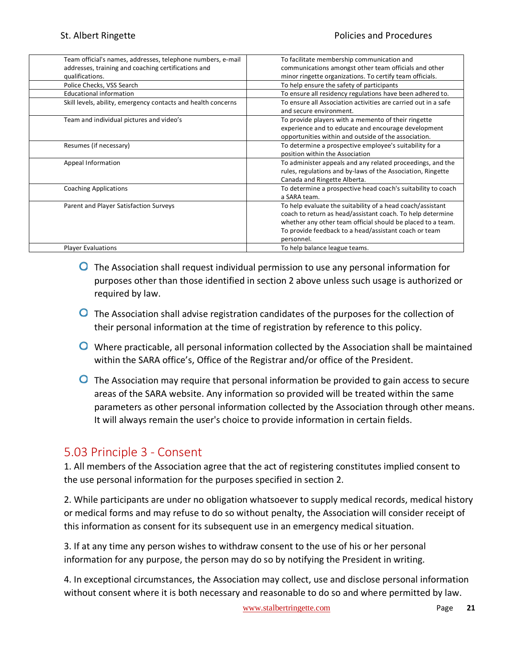| Team official's names, addresses, telephone numbers, e-mail   | To facilitate membership communication and                     |
|---------------------------------------------------------------|----------------------------------------------------------------|
| addresses, training and coaching certifications and           | communications amongst other team officials and other          |
| qualifications.                                               | minor ringette organizations. To certify team officials.       |
| Police Checks, VSS Search                                     | To help ensure the safety of participants                      |
| <b>Educational information</b>                                | To ensure all residency regulations have been adhered to.      |
| Skill levels, ability, emergency contacts and health concerns | To ensure all Association activities are carried out in a safe |
|                                                               | and secure environment.                                        |
| Team and individual pictures and video's                      | To provide players with a memento of their ringette            |
|                                                               | experience and to educate and encourage development            |
|                                                               | opportunities within and outside of the association.           |
| Resumes (if necessary)                                        | To determine a prospective employee's suitability for a        |
|                                                               | position within the Association                                |
| Appeal Information                                            | To administer appeals and any related proceedings, and the     |
|                                                               | rules, regulations and by-laws of the Association, Ringette    |
|                                                               | Canada and Ringette Alberta.                                   |
| <b>Coaching Applications</b>                                  | To determine a prospective head coach's suitability to coach   |
|                                                               | a SARA team.                                                   |
| Parent and Player Satisfaction Surveys                        | To help evaluate the suitability of a head coach/assistant     |
|                                                               | coach to return as head/assistant coach. To help determine     |
|                                                               | whether any other team official should be placed to a team.    |
|                                                               | To provide feedback to a head/assistant coach or team          |
|                                                               | personnel.                                                     |
| <b>Player Evaluations</b>                                     | To help balance league teams.                                  |

- **O** The Association shall request individual permission to use any personal information for purposes other than those identified in section 2 above unless such usage is authorized or required by law.
- **O** The Association shall advise registration candidates of the purposes for the collection of their personal information at the time of registration by reference to this policy.
- Where practicable, all personal information collected by the Association shall be maintained within the SARA office's, Office of the Registrar and/or office of the President.
- **O** The Association may require that personal information be provided to gain access to secure areas of the SARA website. Any information so provided will be treated within the same parameters as other personal information collected by the Association through other means. It will always remain the user's choice to provide information in certain fields.

### <span id="page-21-0"></span>5.03 Principle 3 - Consent

1. All members of the Association agree that the act of registering constitutes implied consent to the use personal information for the purposes specified in section 2.

2. While participants are under no obligation whatsoever to supply medical records, medical history or medical forms and may refuse to do so without penalty, the Association will consider receipt of this information as consent for its subsequent use in an emergency medical situation.

3. If at any time any person wishes to withdraw consent to the use of his or her personal information for any purpose, the person may do so by notifying the President in writing.

4. In exceptional circumstances, the Association may collect, use and disclose personal information without consent where it is both necessary and reasonable to do so and where permitted by law.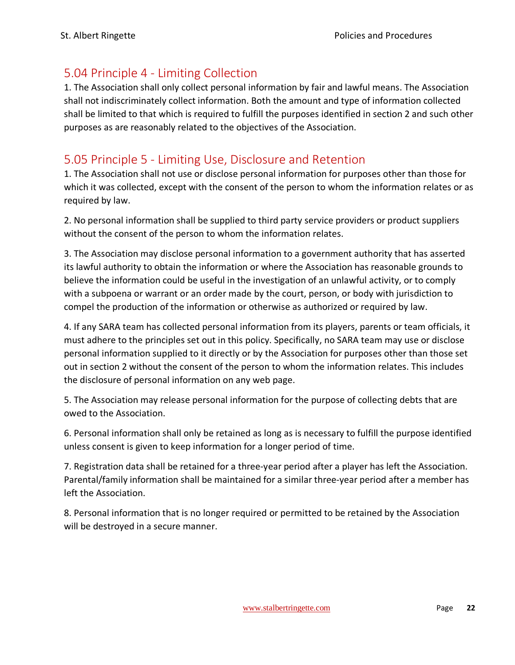### <span id="page-22-0"></span>5.04 Principle 4 - Limiting Collection

1. The Association shall only collect personal information by fair and lawful means. The Association shall not indiscriminately collect information. Both the amount and type of information collected shall be limited to that which is required to fulfill the purposes identified in section 2 and such other purposes as are reasonably related to the objectives of the Association.

### <span id="page-22-1"></span>5.05 Principle 5 - Limiting Use, Disclosure and Retention

1. The Association shall not use or disclose personal information for purposes other than those for which it was collected, except with the consent of the person to whom the information relates or as required by law.

2. No personal information shall be supplied to third party service providers or product suppliers without the consent of the person to whom the information relates.

3. The Association may disclose personal information to a government authority that has asserted its lawful authority to obtain the information or where the Association has reasonable grounds to believe the information could be useful in the investigation of an unlawful activity, or to comply with a subpoena or warrant or an order made by the court, person, or body with jurisdiction to compel the production of the information or otherwise as authorized or required by law.

4. If any SARA team has collected personal information from its players, parents or team officials, it must adhere to the principles set out in this policy. Specifically, no SARA team may use or disclose personal information supplied to it directly or by the Association for purposes other than those set out in section 2 without the consent of the person to whom the information relates. This includes the disclosure of personal information on any web page.

5. The Association may release personal information for the purpose of collecting debts that are owed to the Association.

6. Personal information shall only be retained as long as is necessary to fulfill the purpose identified unless consent is given to keep information for a longer period of time.

7. Registration data shall be retained for a three-year period after a player has left the Association. Parental/family information shall be maintained for a similar three-year period after a member has left the Association.

8. Personal information that is no longer required or permitted to be retained by the Association will be destroyed in a secure manner.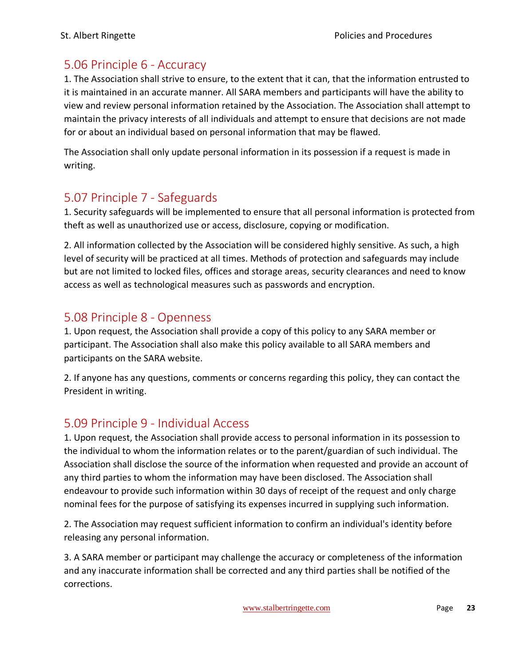### <span id="page-23-0"></span>5.06 Principle 6 - Accuracy

1. The Association shall strive to ensure, to the extent that it can, that the information entrusted to it is maintained in an accurate manner. All SARA members and participants will have the ability to view and review personal information retained by the Association. The Association shall attempt to maintain the privacy interests of all individuals and attempt to ensure that decisions are not made for or about an individual based on personal information that may be flawed.

The Association shall only update personal information in its possession if a request is made in writing.

### <span id="page-23-1"></span>5.07 Principle 7 - Safeguards

1. Security safeguards will be implemented to ensure that all personal information is protected from theft as well as unauthorized use or access, disclosure, copying or modification.

2. All information collected by the Association will be considered highly sensitive. As such, a high level of security will be practiced at all times. Methods of protection and safeguards may include but are not limited to locked files, offices and storage areas, security clearances and need to know access as well as technological measures such as passwords and encryption.

### <span id="page-23-2"></span>5.08 Principle 8 - Openness

1. Upon request, the Association shall provide a copy of this policy to any SARA member or participant. The Association shall also make this policy available to all SARA members and participants on the SARA website.

2. If anyone has any questions, comments or concerns regarding this policy, they can contact the President in writing.

# <span id="page-23-3"></span>5.09 Principle 9 - Individual Access

1. Upon request, the Association shall provide access to personal information in its possession to the individual to whom the information relates or to the parent/guardian of such individual. The Association shall disclose the source of the information when requested and provide an account of any third parties to whom the information may have been disclosed. The Association shall endeavour to provide such information within 30 days of receipt of the request and only charge nominal fees for the purpose of satisfying its expenses incurred in supplying such information.

2. The Association may request sufficient information to confirm an individual's identity before releasing any personal information.

3. A SARA member or participant may challenge the accuracy or completeness of the information and any inaccurate information shall be corrected and any third parties shall be notified of the corrections.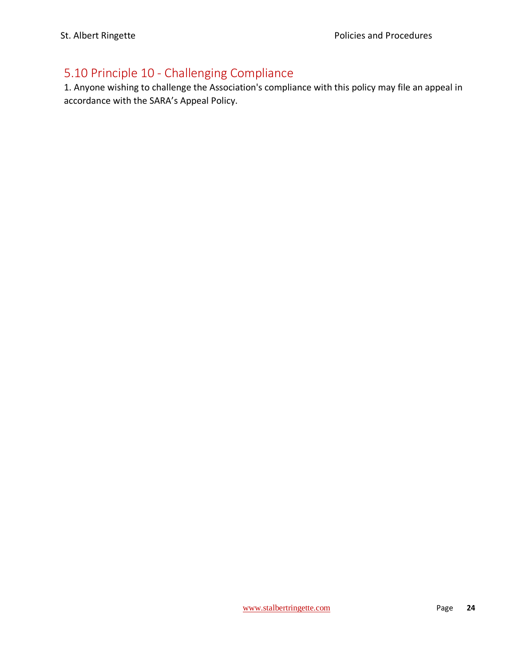# <span id="page-24-0"></span>5.10 Principle 10 - Challenging Compliance

1. Anyone wishing to challenge the Association's compliance with this policy may file an appeal in accordance with the SARA's Appeal Policy.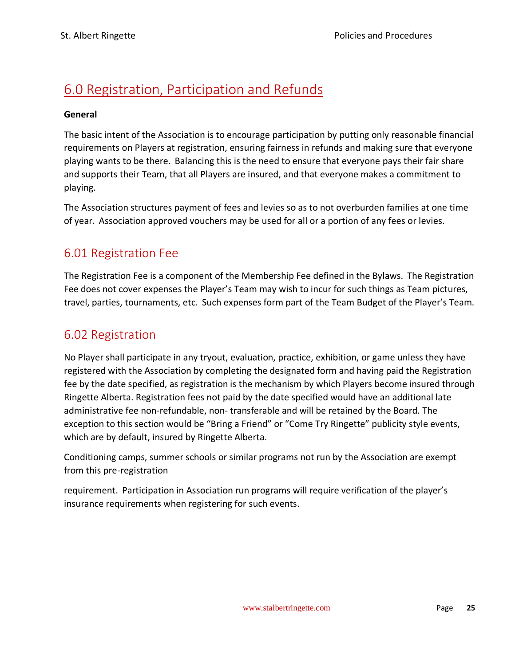# <span id="page-25-0"></span>6.0 Registration, Participation and Refunds

#### **General**

The basic intent of the Association is to encourage participation by putting only reasonable financial requirements on Players at registration, ensuring fairness in refunds and making sure that everyone playing wants to be there. Balancing this is the need to ensure that everyone pays their fair share and supports their Team, that all Players are insured, and that everyone makes a commitment to playing.

The Association structures payment of fees and levies so as to not overburden families at one time of year. Association approved vouchers may be used for all or a portion of any fees or levies.

### <span id="page-25-1"></span>6.01 Registration Fee

The Registration Fee is a component of the Membership Fee defined in the Bylaws. The Registration Fee does not cover expenses the Player's Team may wish to incur for such things as Team pictures, travel, parties, tournaments, etc. Such expenses form part of the Team Budget of the Player's Team.

### <span id="page-25-2"></span>6.02 Registration

No Player shall participate in any tryout, evaluation, practice, exhibition, or game unless they have registered with the Association by completing the designated form and having paid the Registration fee by the date specified, as registration is the mechanism by which Players become insured through Ringette Alberta. Registration fees not paid by the date specified would have an additional late administrative fee non-refundable, non- transferable and will be retained by the Board. The exception to this section would be "Bring a Friend" or "Come Try Ringette" publicity style events, which are by default, insured by Ringette Alberta.

Conditioning camps, summer schools or similar programs not run by the Association are exempt from this pre-registration

requirement. Participation in Association run programs will require verification of the player's insurance requirements when registering for such events.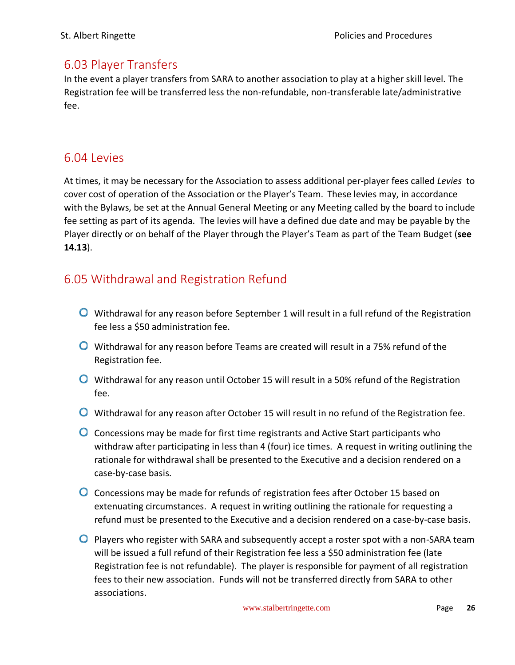### <span id="page-26-0"></span>6.03 Player Transfers

In the event a player transfers from SARA to another association to play at a higher skill level. The Registration fee will be transferred less the non-refundable, non-transferable late/administrative fee.

### <span id="page-26-1"></span>6.04 Levies

At times, it may be necessary for the Association to assess additional per-player fees called *Levies* to cover cost of operation of the Association or the Player's Team. These levies may, in accordance with the Bylaws, be set at the Annual General Meeting or any Meeting called by the board to include fee setting as part of its agenda. The levies will have a defined due date and may be payable by the Player directly or on behalf of the Player through the Player's Team as part of the Team Budget (**see 14.13**).

### <span id="page-26-2"></span>6.05 Withdrawal and Registration Refund

- **O** Withdrawal for any reason before September 1 will result in a full refund of the Registration fee less a \$50 administration fee.
- **O** Withdrawal for any reason before Teams are created will result in a 75% refund of the Registration fee.
- Withdrawal for any reason until October 15 will result in a 50% refund of the Registration fee.
- **O** Withdrawal for any reason after October 15 will result in no refund of the Registration fee.
- **O** Concessions may be made for first time registrants and Active Start participants who withdraw after participating in less than 4 (four) ice times. A request in writing outlining the rationale for withdrawal shall be presented to the Executive and a decision rendered on a case-by-case basis.
- **O** Concessions may be made for refunds of registration fees after October 15 based on extenuating circumstances. A request in writing outlining the rationale for requesting a refund must be presented to the Executive and a decision rendered on a case-by-case basis.
- **O** Players who register with SARA and subsequently accept a roster spot with a non-SARA team will be issued a full refund of their Registration fee less a \$50 administration fee (late Registration fee is not refundable). The player is responsible for payment of all registration fees to their new association. Funds will not be transferred directly from SARA to other associations.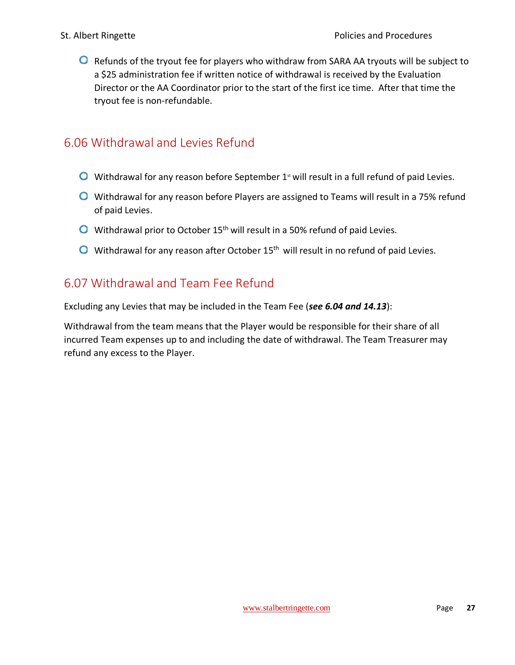$\bullet$  Refunds of the tryout fee for players who withdraw from SARA AA tryouts will be subject to a \$25 administration fee if written notice of withdrawal is received by the Evaluation Director or the AA Coordinator prior to the start of the first ice time. After that time the tryout fee is non-refundable.

### <span id="page-27-0"></span>6.06 Withdrawal and Levies Refund

- $\bullet$  Withdrawal for any reason before September 1<sup>st</sup> will result in a full refund of paid Levies.
- **O** Withdrawal for any reason before Players are assigned to Teams will result in a 75% refund of paid Levies.
- $\bullet$  Withdrawal prior to October 15<sup>th</sup> will result in a 50% refund of paid Levies.
- $\bullet$  Withdrawal for any reason after October 15<sup>th</sup> will result in no refund of paid Levies.

### <span id="page-27-1"></span>6.07 Withdrawal and Team Fee Refund

Excluding any Levies that may be included in the Team Fee (*see 6.04 and 14.13*):

Withdrawal from the team means that the Player would be responsible for their share of all incurred Team expenses up to and including the date of withdrawal. The Team Treasurer may refund any excess to the Player.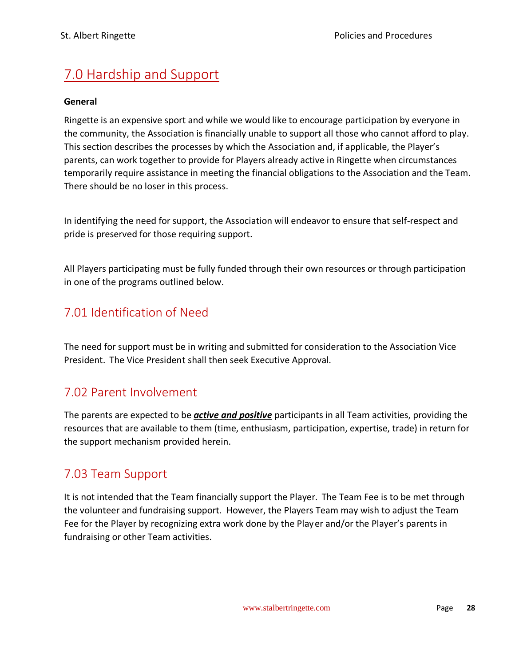# <span id="page-28-0"></span>7.0 Hardship and Support

#### **General**

Ringette is an expensive sport and while we would like to encourage participation by everyone in the community, the Association is financially unable to support all those who cannot afford to play. This section describes the processes by which the Association and, if applicable, the Player's parents, can work together to provide for Players already active in Ringette when circumstances temporarily require assistance in meeting the financial obligations to the Association and the Team. There should be no loser in this process.

In identifying the need for support, the Association will endeavor to ensure that self-respect and pride is preserved for those requiring support.

All Players participating must be fully funded through their own resources or through participation in one of the programs outlined below.

### <span id="page-28-1"></span>7.01 Identification of Need

The need for support must be in writing and submitted for consideration to the Association Vice President. The Vice President shall then seek Executive Approval.

### <span id="page-28-2"></span>7.02 Parent Involvement

The parents are expected to be *active and positive* participants in all Team activities, providing the resources that are available to them (time, enthusiasm, participation, expertise, trade) in return for the support mechanism provided herein.

### <span id="page-28-3"></span>7.03 Team Support

It is not intended that the Team financially support the Player. The Team Fee is to be met through the volunteer and fundraising support. However, the Players Team may wish to adjust the Team Fee for the Player by recognizing extra work done by the Player and/or the Player's parents in fundraising or other Team activities.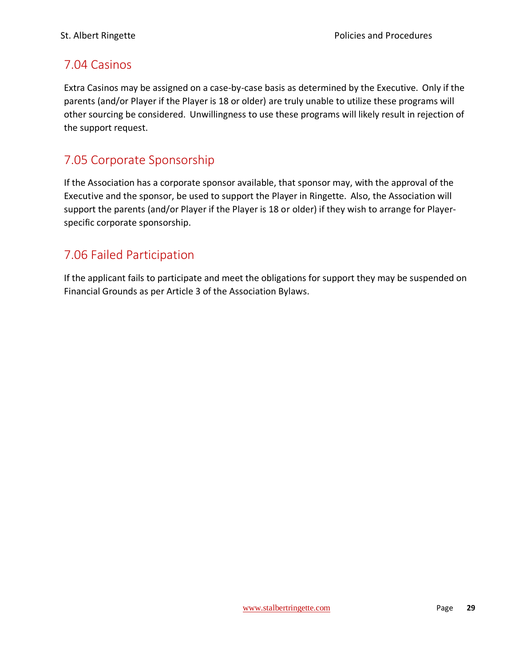### <span id="page-29-0"></span>7.04 Casinos

Extra Casinos may be assigned on a case-by-case basis as determined by the Executive. Only if the parents (and/or Player if the Player is 18 or older) are truly unable to utilize these programs will other sourcing be considered. Unwillingness to use these programs will likely result in rejection of the support request.

### <span id="page-29-1"></span>7.05 Corporate Sponsorship

If the Association has a corporate sponsor available, that sponsor may, with the approval of the Executive and the sponsor, be used to support the Player in Ringette. Also, the Association will support the parents (and/or Player if the Player is 18 or older) if they wish to arrange for Playerspecific corporate sponsorship.

### <span id="page-29-2"></span>7.06 Failed Participation

If the applicant fails to participate and meet the obligations for support they may be suspended on Financial Grounds as per Article 3 of the Association Bylaws.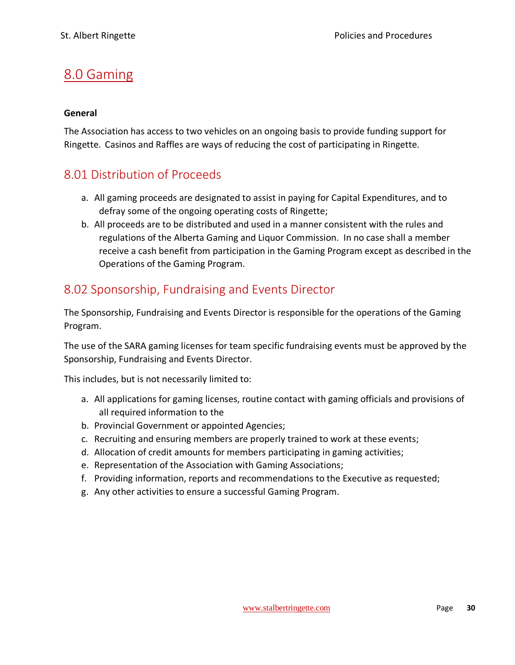# <span id="page-30-0"></span>8.0 Gaming

#### **General**

The Association has access to two vehicles on an ongoing basis to provide funding support for Ringette. Casinos and Raffles are ways of reducing the cost of participating in Ringette.

### <span id="page-30-1"></span>8.01 Distribution of Proceeds

- a. All gaming proceeds are designated to assist in paying for Capital Expenditures, and to defray some of the ongoing operating costs of Ringette;
- b. All proceeds are to be distributed and used in a manner consistent with the rules and regulations of the Alberta Gaming and Liquor Commission. In no case shall a member receive a cash benefit from participation in the Gaming Program except as described in the Operations of the Gaming Program.

### <span id="page-30-2"></span>8.02 Sponsorship, Fundraising and Events Director

The Sponsorship, Fundraising and Events Director is responsible for the operations of the Gaming Program.

The use of the SARA gaming licenses for team specific fundraising events must be approved by the Sponsorship, Fundraising and Events Director.

This includes, but is not necessarily limited to:

- a. All applications for gaming licenses, routine contact with gaming officials and provisions of all required information to the
- b. Provincial Government or appointed Agencies;
- c. Recruiting and ensuring members are properly trained to work at these events;
- d. Allocation of credit amounts for members participating in gaming activities;
- e. Representation of the Association with Gaming Associations;
- f. Providing information, reports and recommendations to the Executive as requested;
- g. Any other activities to ensure a successful Gaming Program.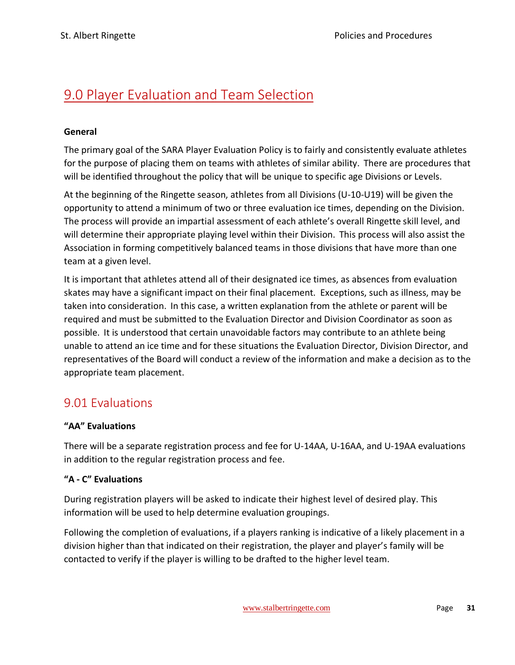# <span id="page-31-0"></span>9.0 Player Evaluation and Team Selection

#### **General**

The primary goal of the SARA Player Evaluation Policy is to fairly and consistently evaluate athletes for the purpose of placing them on teams with athletes of similar ability. There are procedures that will be identified throughout the policy that will be unique to specific age Divisions or Levels.

At the beginning of the Ringette season, athletes from all Divisions (U-10-U19) will be given the opportunity to attend a minimum of two or three evaluation ice times, depending on the Division. The process will provide an impartial assessment of each athlete's overall Ringette skill level, and will determine their appropriate playing level within their Division. This process will also assist the Association in forming competitively balanced teams in those divisions that have more than one team at a given level.

It is important that athletes attend all of their designated ice times, as absences from evaluation skates may have a significant impact on their final placement. Exceptions, such as illness, may be taken into consideration. In this case, a written explanation from the athlete or parent will be required and must be submitted to the Evaluation Director and Division Coordinator as soon as possible. It is understood that certain unavoidable factors may contribute to an athlete being unable to attend an ice time and for these situations the Evaluation Director, Division Director, and representatives of the Board will conduct a review of the information and make a decision as to the appropriate team placement.

### <span id="page-31-1"></span>9.01 Evaluations

#### **"AA" Evaluations**

There will be a separate registration process and fee for U-14AA, U-16AA, and U-19AA evaluations in addition to the regular registration process and fee.

#### **"A - C" Evaluations**

During registration players will be asked to indicate their highest level of desired play. This information will be used to help determine evaluation groupings.

Following the completion of evaluations, if a players ranking is indicative of a likely placement in a division higher than that indicated on their registration, the player and player's family will be contacted to verify if the player is willing to be drafted to the higher level team.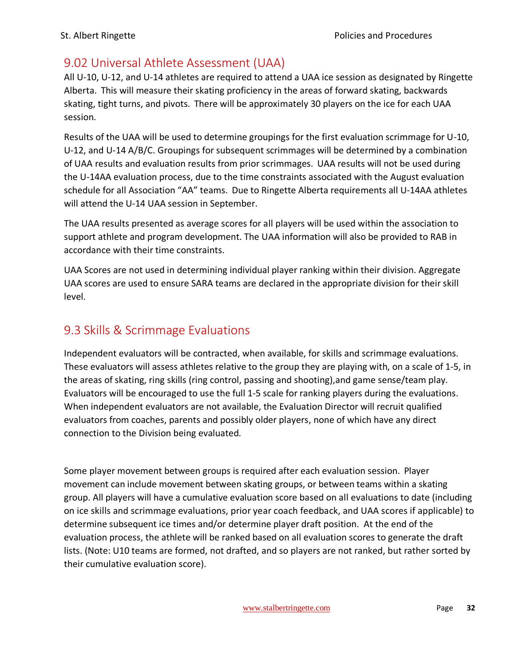### <span id="page-32-0"></span>9.02 Universal Athlete Assessment (UAA)

All U-10, U-12, and U-14 athletes are required to attend a UAA ice session as designated by Ringette Alberta. This will measure their skating proficiency in the areas of forward skating, backwards skating, tight turns, and pivots. There will be approximately 30 players on the ice for each UAA session.

Results of the UAA will be used to determine groupings for the first evaluation scrimmage for U-10, U-12, and U-14 A/B/C. Groupings for subsequent scrimmages will be determined by a combination of UAA results and evaluation results from prior scrimmages. UAA results will not be used during the U-14AA evaluation process, due to the time constraints associated with the August evaluation schedule for all Association "AA" teams. Due to Ringette Alberta requirements all U-14AA athletes will attend the U-14 UAA session in September.

The UAA results presented as average scores for all players will be used within the association to support athlete and program development. The UAA information will also be provided to RAB in accordance with their time constraints.

UAA Scores are not used in determining individual player ranking within their division. Aggregate UAA scores are used to ensure SARA teams are declared in the appropriate division for their skill level.

### <span id="page-32-1"></span>9.3 Skills & Scrimmage Evaluations

Independent evaluators will be contracted, when available, for skills and scrimmage evaluations. These evaluators will assess athletes relative to the group they are playing with, on a scale of 1-5, in the areas of skating, ring skills (ring control, passing and shooting),and game sense/team play. Evaluators will be encouraged to use the full 1-5 scale for ranking players during the evaluations. When independent evaluators are not available, the Evaluation Director will recruit qualified evaluators from coaches, parents and possibly older players, none of which have any direct connection to the Division being evaluated.

Some player movement between groups is required after each evaluation session. Player movement can include movement between skating groups, or between teams within a skating group. All players will have a cumulative evaluation score based on all evaluations to date (including on ice skills and scrimmage evaluations, prior year coach feedback, and UAA scores if applicable) to determine subsequent ice times and/or determine player draft position. At the end of the evaluation process, the athlete will be ranked based on all evaluation scores to generate the draft lists. (Note: U10 teams are formed, not drafted, and so players are not ranked, but rather sorted by their cumulative evaluation score).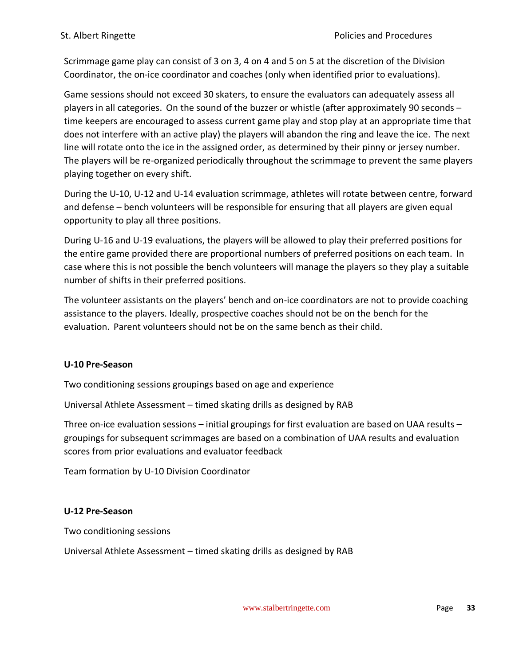Scrimmage game play can consist of 3 on 3, 4 on 4 and 5 on 5 at the discretion of the Division Coordinator, the on-ice coordinator and coaches (only when identified prior to evaluations).

Game sessions should not exceed 30 skaters, to ensure the evaluators can adequately assess all players in all categories. On the sound of the buzzer or whistle (after approximately 90 seconds – time keepers are encouraged to assess current game play and stop play at an appropriate time that does not interfere with an active play) the players will abandon the ring and leave the ice. The next line will rotate onto the ice in the assigned order, as determined by their pinny or jersey number. The players will be re-organized periodically throughout the scrimmage to prevent the same players playing together on every shift.

During the U-10, U-12 and U-14 evaluation scrimmage, athletes will rotate between centre, forward and defense – bench volunteers will be responsible for ensuring that all players are given equal opportunity to play all three positions.

During U-16 and U-19 evaluations, the players will be allowed to play their preferred positions for the entire game provided there are proportional numbers of preferred positions on each team. In case where this is not possible the bench volunteers will manage the players so they play a suitable number of shifts in their preferred positions.

The volunteer assistants on the players' bench and on-ice coordinators are not to provide coaching assistance to the players. Ideally, prospective coaches should not be on the bench for the evaluation. Parent volunteers should not be on the same bench as their child.

#### **U-10 Pre-Season**

Two conditioning sessions groupings based on age and experience

Universal Athlete Assessment – timed skating drills as designed by RAB

Three on-ice evaluation sessions – initial groupings for first evaluation are based on UAA results – groupings for subsequent scrimmages are based on a combination of UAA results and evaluation scores from prior evaluations and evaluator feedback

Team formation by U-10 Division Coordinator

#### **U-12 Pre-Season**

Two conditioning sessions

Universal Athlete Assessment – timed skating drills as designed by RAB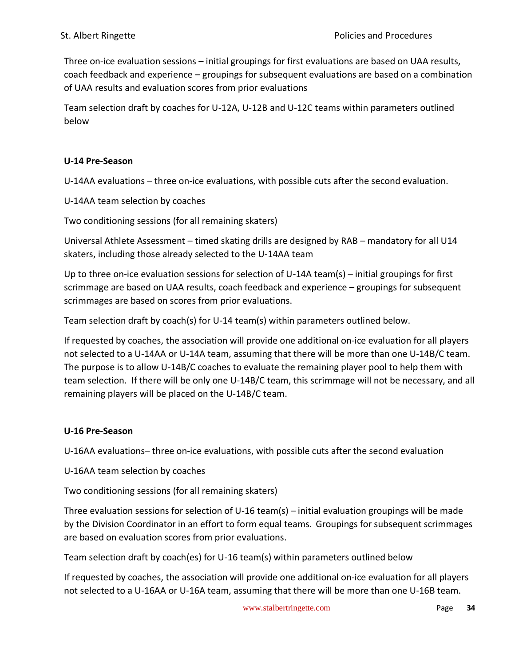Three on-ice evaluation sessions – initial groupings for first evaluations are based on UAA results, coach feedback and experience – groupings for subsequent evaluations are based on a combination of UAA results and evaluation scores from prior evaluations

Team selection draft by coaches for U-12A, U-12B and U-12C teams within parameters outlined below

#### **U-14 Pre-Season**

U-14AA evaluations – three on-ice evaluations, with possible cuts after the second evaluation.

U-14AA team selection by coaches

Two conditioning sessions (for all remaining skaters)

Universal Athlete Assessment – timed skating drills are designed by RAB – mandatory for all U14 skaters, including those already selected to the U-14AA team

Up to three on-ice evaluation sessions for selection of U-14A team(s) – initial groupings for first scrimmage are based on UAA results, coach feedback and experience – groupings for subsequent scrimmages are based on scores from prior evaluations.

Team selection draft by coach(s) for U-14 team(s) within parameters outlined below.

If requested by coaches, the association will provide one additional on-ice evaluation for all players not selected to a U-14AA or U-14A team, assuming that there will be more than one U-14B/C team. The purpose is to allow U-14B/C coaches to evaluate the remaining player pool to help them with team selection. If there will be only one U-14B/C team, this scrimmage will not be necessary, and all remaining players will be placed on the U-14B/C team.

#### **U-16 Pre-Season**

U-16AA evaluations– three on-ice evaluations, with possible cuts after the second evaluation

U-16AA team selection by coaches

Two conditioning sessions (for all remaining skaters)

Three evaluation sessions for selection of U-16 team(s) – initial evaluation groupings will be made by the Division Coordinator in an effort to form equal teams. Groupings for subsequent scrimmages are based on evaluation scores from prior evaluations.

Team selection draft by coach(es) for U-16 team(s) within parameters outlined below

If requested by coaches, the association will provide one additional on-ice evaluation for all players not selected to a U-16AA or U-16A team, assuming that there will be more than one U-16B team.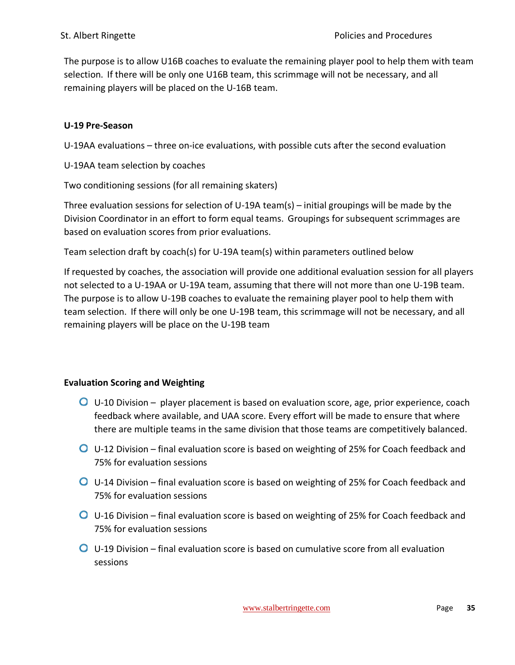The purpose is to allow U16B coaches to evaluate the remaining player pool to help them with team selection. If there will be only one U16B team, this scrimmage will not be necessary, and all remaining players will be placed on the U-16B team.

#### **U-19 Pre-Season**

U-19AA evaluations – three on-ice evaluations, with possible cuts after the second evaluation

U-19AA team selection by coaches

Two conditioning sessions (for all remaining skaters)

Three evaluation sessions for selection of U-19A team(s) – initial groupings will be made by the Division Coordinator in an effort to form equal teams. Groupings for subsequent scrimmages are based on evaluation scores from prior evaluations.

Team selection draft by coach(s) for U-19A team(s) within parameters outlined below

If requested by coaches, the association will provide one additional evaluation session for all players not selected to a U-19AA or U-19A team, assuming that there will not more than one U-19B team. The purpose is to allow U-19B coaches to evaluate the remaining player pool to help them with team selection. If there will only be one U-19B team, this scrimmage will not be necessary, and all remaining players will be place on the U-19B team

#### **Evaluation Scoring and Weighting**

- U-10 Division player placement is based on evaluation score, age, prior experience, coach feedback where available, and UAA score. Every effort will be made to ensure that where there are multiple teams in the same division that those teams are competitively balanced.
- U-12 Division final evaluation score is based on weighting of 25% for Coach feedback and 75% for evaluation sessions
- U-14 Division final evaluation score is based on weighting of 25% for Coach feedback and 75% for evaluation sessions
- U-16 Division final evaluation score is based on weighting of 25% for Coach feedback and 75% for evaluation sessions
- $\bullet$  U-19 Division final evaluation score is based on cumulative score from all evaluation sessions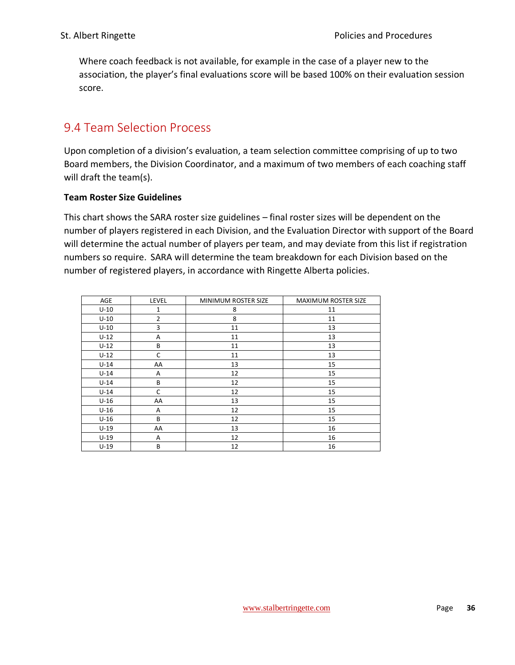Where coach feedback is not available, for example in the case of a player new to the association, the player's final evaluations score will be based 100% on their evaluation session score.

### <span id="page-36-0"></span>9.4 Team Selection Process

Upon completion of a division's evaluation, a team selection committee comprising of up to two Board members, the Division Coordinator, and a maximum of two members of each coaching staff will draft the team(s).

#### **Team Roster Size Guidelines**

This chart shows the SARA roster size guidelines – final roster sizes will be dependent on the number of players registered in each Division, and the Evaluation Director with support of the Board will determine the actual number of players per team, and may deviate from this list if registration numbers so require. SARA will determine the team breakdown for each Division based on the number of registered players, in accordance with Ringette Alberta policies.

| AGE    | <b>LEVEL</b>   | MINIMUM ROSTER SIZE | MAXIMUM ROSTER SIZE |
|--------|----------------|---------------------|---------------------|
| $U-10$ | 1              | 8                   | 11                  |
| $U-10$ | $\overline{2}$ | 8                   | 11                  |
| $U-10$ | 3              | 11                  | 13                  |
| $U-12$ | A              | 11                  | 13                  |
| $U-12$ | B              | 11                  | 13                  |
| $U-12$ | C              | 11                  | 13                  |
| $U-14$ | AA             | 13                  | 15                  |
| $U-14$ | Α              | 12                  | 15                  |
| $U-14$ | B              | 12                  | 15                  |
| $U-14$ | C              | 12                  | 15                  |
| $U-16$ | AA             | 13                  | 15                  |
| $U-16$ | A              | 12                  | 15                  |
| $U-16$ | В              | 12                  | 15                  |
| $U-19$ | AA             | 13                  | 16                  |
| $U-19$ | A              | 12                  | 16                  |
| $U-19$ | B              | 12                  | 16                  |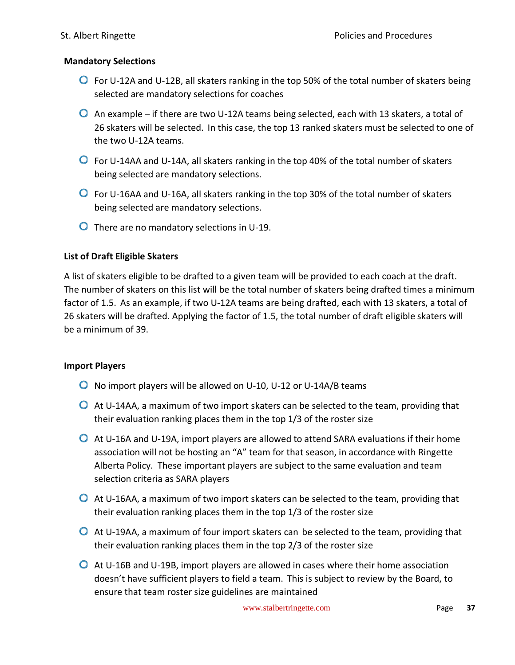#### **Mandatory Selections**

- **O** For U-12A and U-12B, all skaters ranking in the top 50% of the total number of skaters being selected are mandatory selections for coaches
- $\bullet$  An example if there are two U-12A teams being selected, each with 13 skaters, a total of 26 skaters will be selected. In this case, the top 13 ranked skaters must be selected to one of the two U-12A teams.
- For U-14AA and U-14A, all skaters ranking in the top 40% of the total number of skaters being selected are mandatory selections.
- **O** For U-16AA and U-16A, all skaters ranking in the top 30% of the total number of skaters being selected are mandatory selections.
- **O** There are no mandatory selections in U-19.

#### **List of Draft Eligible Skaters**

A list of skaters eligible to be drafted to a given team will be provided to each coach at the draft. The number of skaters on this list will be the total number of skaters being drafted times a minimum factor of 1.5. As an example, if two U-12A teams are being drafted, each with 13 skaters, a total of 26 skaters will be drafted. Applying the factor of 1.5, the total number of draft eligible skaters will be a minimum of 39.

#### **Import Players**

- No import players will be allowed on U-10, U-12 or U-14A/B teams
- At U-14AA, a maximum of two import skaters can be selected to the team, providing that their evaluation ranking places them in the top 1/3 of the roster size
- At U-16A and U-19A, import players are allowed to attend SARA evaluations if their home association will not be hosting an "A" team for that season, in accordance with Ringette Alberta Policy. These important players are subject to the same evaluation and team selection criteria as SARA players
- **O** At U-16AA, a maximum of two import skaters can be selected to the team, providing that their evaluation ranking places them in the top 1/3 of the roster size
- **O** At U-19AA, a maximum of four import skaters can be selected to the team, providing that their evaluation ranking places them in the top 2/3 of the roster size
- At U-16B and U-19B, import players are allowed in cases where their home association doesn't have sufficient players to field a team. This is subject to review by the Board, to ensure that team roster size guidelines are maintained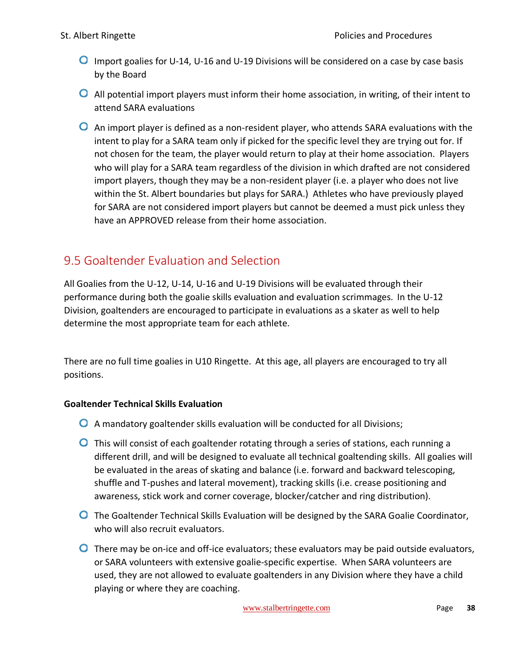- **O** Import goalies for U-14, U-16 and U-19 Divisions will be considered on a case by case basis by the Board
- All potential import players must inform their home association, in writing, of their intent to attend SARA evaluations
- An import player is defined as a non-resident player, who attends SARA evaluations with the intent to play for a SARA team only if picked for the specific level they are trying out for. If not chosen for the team, the player would return to play at their home association. Players who will play for a SARA team regardless of the division in which drafted are not considered import players, though they may be a non-resident player (i.e. a player who does not live within the St. Albert boundaries but plays for SARA.) Athletes who have previously played for SARA are not considered import players but cannot be deemed a must pick unless they have an APPROVED release from their home association.

# <span id="page-38-0"></span>9.5 Goaltender Evaluation and Selection

All Goalies from the U-12, U-14, U-16 and U-19 Divisions will be evaluated through their performance during both the goalie skills evaluation and evaluation scrimmages. In the U-12 Division, goaltenders are encouraged to participate in evaluations as a skater as well to help determine the most appropriate team for each athlete.

There are no full time goalies in U10 Ringette. At this age, all players are encouraged to try all positions.

### **Goaltender Technical Skills Evaluation**

- A mandatory goaltender skills evaluation will be conducted for all Divisions;
- **O** This will consist of each goaltender rotating through a series of stations, each running a different drill, and will be designed to evaluate all technical goaltending skills. All goalies will be evaluated in the areas of skating and balance (i.e. forward and backward telescoping, shuffle and T-pushes and lateral movement), tracking skills (i.e. crease positioning and awareness, stick work and corner coverage, blocker/catcher and ring distribution).
- **O** The Goaltender Technical Skills Evaluation will be designed by the SARA Goalie Coordinator, who will also recruit evaluators.
- **O** There may be on-ice and off-ice evaluators; these evaluators may be paid outside evaluators, or SARA volunteers with extensive goalie-specific expertise. When SARA volunteers are used, they are not allowed to evaluate goaltenders in any Division where they have a child playing or where they are coaching.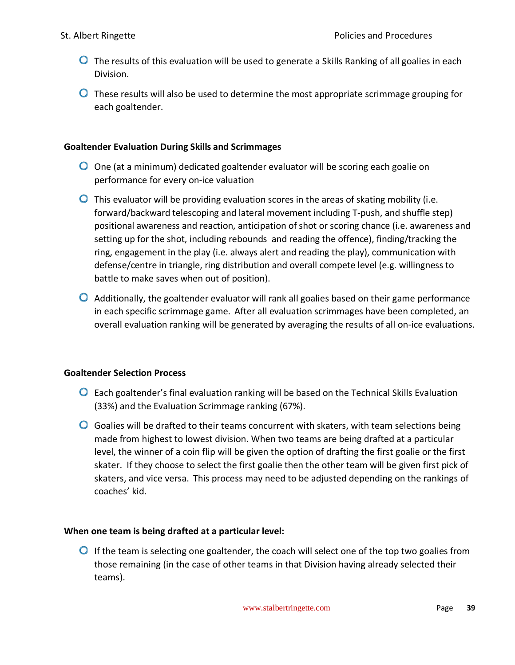- **O** The results of this evaluation will be used to generate a Skills Ranking of all goalies in each Division.
- **O** These results will also be used to determine the most appropriate scrimmage grouping for each goaltender.

#### **Goaltender Evaluation During Skills and Scrimmages**

- O One (at a minimum) dedicated goaltender evaluator will be scoring each goalie on performance for every on-ice valuation
- $\bullet$  This evaluator will be providing evaluation scores in the areas of skating mobility (i.e. forward/backward telescoping and lateral movement including T-push, and shuffle step) positional awareness and reaction, anticipation of shot or scoring chance (i.e. awareness and setting up for the shot, including rebounds and reading the offence), finding/tracking the ring, engagement in the play (i.e. always alert and reading the play), communication with defense/centre in triangle, ring distribution and overall compete level (e.g. willingness to battle to make saves when out of position).
- Additionally, the goaltender evaluator will rank all goalies based on their game performance in each specific scrimmage game. After all evaluation scrimmages have been completed, an overall evaluation ranking will be generated by averaging the results of all on-ice evaluations.

#### **Goaltender Selection Process**

- Each goaltender's final evaluation ranking will be based on the Technical Skills Evaluation (33%) and the Evaluation Scrimmage ranking (67%).
- $\bullet$  Goalies will be drafted to their teams concurrent with skaters, with team selections being made from highest to lowest division. When two teams are being drafted at a particular level, the winner of a coin flip will be given the option of drafting the first goalie or the first skater. If they choose to select the first goalie then the other team will be given first pick of skaters, and vice versa. This process may need to be adjusted depending on the rankings of coaches' kid.

#### **When one team is being drafted at a particular level:**

 $\bullet$  If the team is selecting one goaltender, the coach will select one of the top two goalies from those remaining (in the case of other teams in that Division having already selected their teams).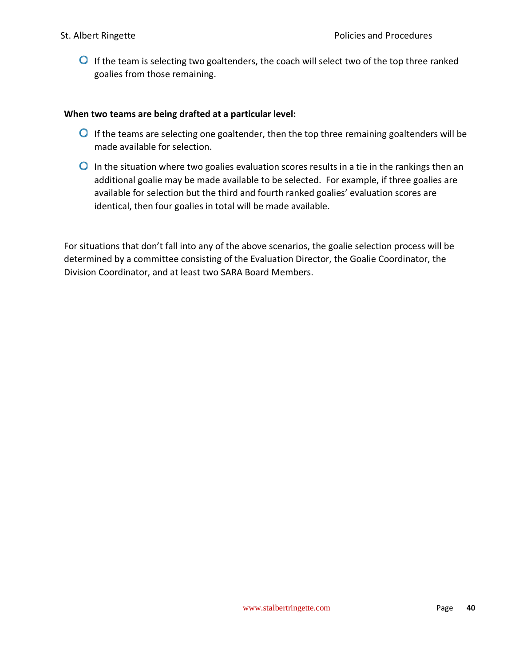**O** If the team is selecting two goaltenders, the coach will select two of the top three ranked goalies from those remaining.

#### **When two teams are being drafted at a particular level:**

- **O** If the teams are selecting one goaltender, then the top three remaining goaltenders will be made available for selection.
- $\bullet$  In the situation where two goalies evaluation scores results in a tie in the rankings then an additional goalie may be made available to be selected. For example, if three goalies are available for selection but the third and fourth ranked goalies' evaluation scores are identical, then four goalies in total will be made available.

For situations that don't fall into any of the above scenarios, the goalie selection process will be determined by a committee consisting of the Evaluation Director, the Goalie Coordinator, the Division Coordinator, and at least two SARA Board Members.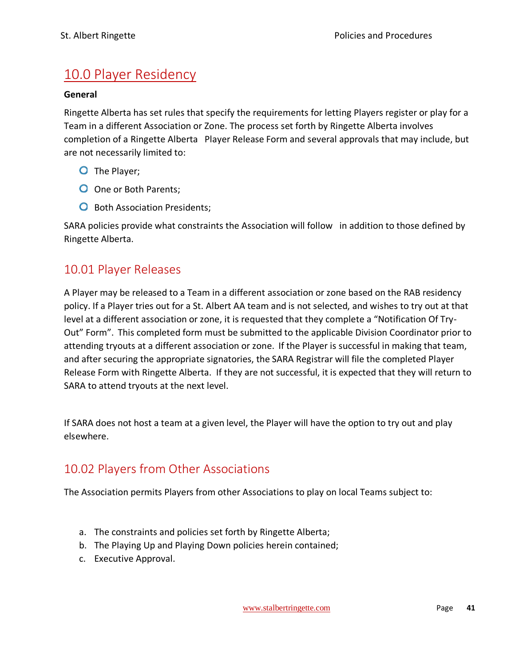# <span id="page-41-0"></span>10.0 Player Residency

#### **General**

Ringette Alberta has set rules that specify the requirements for letting Players register or play for a Team in a different Association or Zone. The process set forth by Ringette Alberta involves completion of a Ringette Alberta Player Release Form and several approvals that may include, but are not necessarily limited to:

- O The Player;
- O One or Both Parents;
- **O** Both Association Presidents;

SARA policies provide what constraints the Association will follow in addition to those defined by Ringette Alberta.

### <span id="page-41-1"></span>10.01 Player Releases

A Player may be released to a Team in a different association or zone based on the RAB residency policy. If a Player tries out for a St. Albert AA team and is not selected, and wishes to try out at that level at a different association or zone, it is requested that they complete a "Notification Of Try-Out" Form". This completed form must be submitted to the applicable Division Coordinator prior to attending tryouts at a different association or zone. If the Player is successful in making that team, and after securing the appropriate signatories, the SARA Registrar will file the completed Player Release Form with Ringette Alberta. If they are not successful, it is expected that they will return to SARA to attend tryouts at the next level.

If SARA does not host a team at a given level, the Player will have the option to try out and play elsewhere.

### <span id="page-41-2"></span>10.02 Players from Other Associations

The Association permits Players from other Associations to play on local Teams subject to:

- a. The constraints and policies set forth by Ringette Alberta;
- b. The Playing Up and Playing Down policies herein contained;
- c. Executive Approval.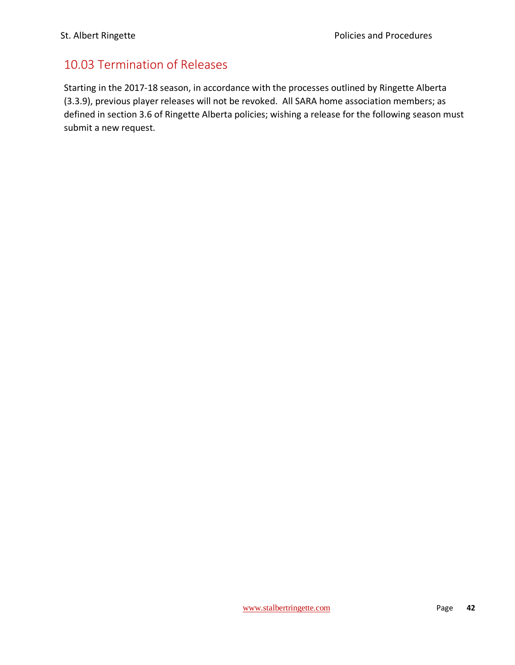### <span id="page-42-0"></span>10.03 Termination of Releases

Starting in the 2017-18 season, in accordance with the processes outlined by Ringette Alberta (3.3.9), previous player releases will not be revoked. All SARA home association members; as defined in section 3.6 of Ringette Alberta policies; wishing a release for the following season must submit a new request.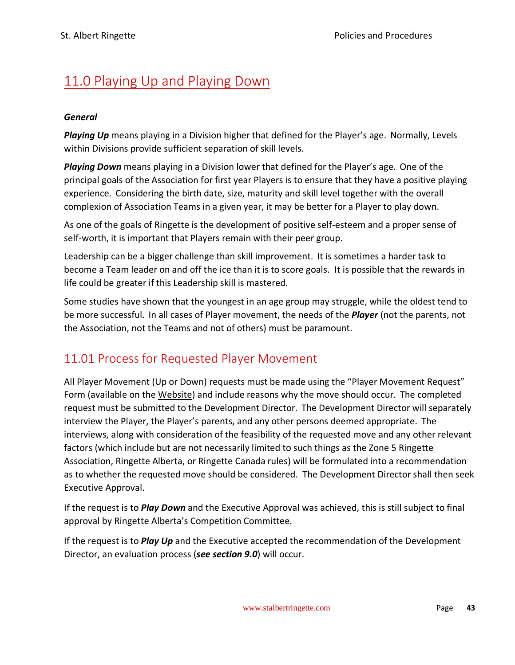# <span id="page-43-0"></span>11.0 Playing Up and Playing Down

#### *General*

*Playing Up* means playing in a Division higher that defined for the Player's age. Normally, Levels within Divisions provide sufficient separation of skill levels.

*Playing Down* means playing in a Division lower that defined for the Player's age. One of the principal goals of the Association for first year Players is to ensure that they have a positive playing experience. Considering the birth date, size, maturity and skill level together with the overall complexion of Association Teams in a given year, it may be better for a Player to play down.

As one of the goals of Ringette is the development of positive self-esteem and a proper sense of self-worth, it is important that Players remain with their peer group.

Leadership can be a bigger challenge than skill improvement. It is sometimes a harder task to become a Team leader on and off the ice than it is to score goals. It is possible that the rewards in life could be greater if this Leadership skill is mastered.

Some studies have shown that the youngest in an age group may struggle, while the oldest tend to be more successful. In all cases of Player movement, the needs of the *Player* (not the parents, not the Association, not the Teams and not of others) must be paramount.

### <span id="page-43-1"></span>11.01 Process for Requested Player Movement

All Player Movement (Up or Down) requests must be made using the "Player Movement Request" Form (available on the Website) and include reasons why the move should occur. The completed request must be submitted to the Development Director. The Development Director will separately interview the Player, the Player's parents, and any other persons deemed appropriate. The interviews, along with consideration of the feasibility of the requested move and any other relevant factors (which include but are not necessarily limited to such things as the Zone 5 Ringette Association, Ringette Alberta, or Ringette Canada rules) will be formulated into a recommendation as to whether the requested move should be considered. The Development Director shall then seek Executive Approval.

If the request is to *Play Down* and the Executive Approval was achieved, this is still subject to final approval by Ringette Alberta's Competition Committee.

If the request is to *Play Up* and the Executive accepted the recommendation of the Development Director, an evaluation process (*see section 9.0*) will occur.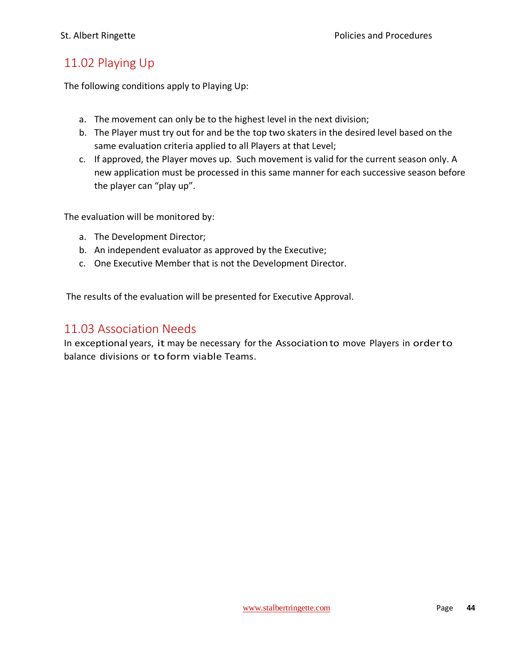### <span id="page-44-0"></span>11.02 Playing Up

The following conditions apply to Playing Up:

- a. The movement can only be to the highest level in the next division;
- b. The Player must try out for and be the top two skaters in the desired level based on the same evaluation criteria applied to all Players at that Level;
- c. If approved, the Player moves up. Such movement is valid for the current season only. A new application must be processed in this same manner for each successive season before the player can "play up".

The evaluation will be monitored by:

- a. The Development Director;
- b. An independent evaluator as approved by the Executive;
- c. One Executive Member that is not the Development Director.

The results of the evaluation will be presented for Executive Approval.

### <span id="page-44-1"></span>11.03 Association Needs

In exceptional years, it may be necessary for the Association to move Players in orderto balance divisions or toform viable Teams.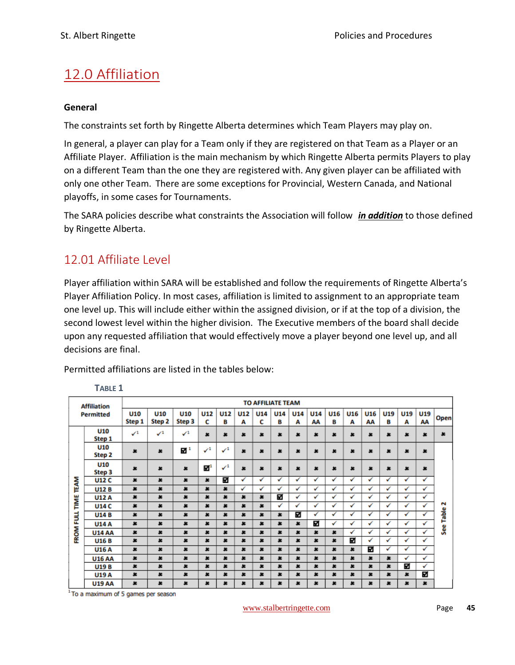# <span id="page-45-0"></span>12.0 Affiliation

#### **General**

The constraints set forth by Ringette Alberta determines which Team Players may play on.

In general, a player can play for a Team only if they are registered on that Team as a Player or an Affiliate Player. Affiliation is the main mechanism by which Ringette Alberta permits Players to play on a different Team than the one they are registered with. Any given player can be affiliated with only one other Team. There are some exceptions for Provincial, Western Canada, and National playoffs, in some cases for Tournaments.

The SARA policies describe what constraints the Association will follow *in addition* to those defined by Ringette Alberta.

### <span id="page-45-1"></span>12.01 Affiliate Level

Player affiliation within SARA will be established and follow the requirements of Ringette Alberta's Player Affiliation Policy. In most cases, affiliation is limited to assignment to an appropriate team one level up. This will include either within the assigned division, or if at the top of a division, the second lowest level within the higher division. The Executive members of the board shall decide upon any requested affiliation that would effectively move a player beyond one level up, and all decisions are final.

Permitted affiliations are listed in the tables below:

|                  | <b>TO AFFILIATE TEAM</b><br><b>Affiliation</b> |                           |                      |                      |                           |                           |                 |                 |                 |           |                  |                 |          |              |              |              |           |           |
|------------------|------------------------------------------------|---------------------------|----------------------|----------------------|---------------------------|---------------------------|-----------------|-----------------|-----------------|-----------|------------------|-----------------|----------|--------------|--------------|--------------|-----------|-----------|
|                  | <b>Permitted</b>                               | <b>U10</b><br>Step 1      | <b>U10</b><br>Step 2 | <b>U10</b><br>Step 3 | <b>U12</b><br>c           | <b>U12</b><br>в           | <b>U12</b><br>А | <b>U14</b><br>c | <b>U14</b><br>в | U14<br>Α  | <b>U14</b><br>AA | <b>U16</b><br>в | U16<br>А | U16<br>AA    | U19<br>в     | U19<br>А     | U19<br>AA | Open      |
|                  | U10<br>Step 1                                  | $\checkmark$ <sup>1</sup> | $\checkmark^1$       | $\sqrt{1}$           | 生                         | $\star$                   | $\star$         | $\star$         | $\star$         | $\star$   | $\pmb{x}$        | $\star$         | $\star$  | ×            | ×            | ×            | $\star$   | $\pmb{x}$ |
|                  | U10<br>Step 2                                  | $\pmb{\times}$            | ×                    | $\blacksquare$       | $\checkmark$ <sup>1</sup> | $\checkmark$ <sup>1</sup> | ×               | 生               | 生               | ×         | ×                | $\pmb{x}$       | 生        | ×            | ×            | ×            | ×         |           |
|                  | U10<br>Step 3                                  | $\star$                   | $\star$              | $\star$              | $\mathbf{Z}^1$            | $\checkmark$ <sup>1</sup> | ×               | 生               | 生               | ×         | ×                | $\bullet$       | ×        | ×            | ×            | ×            | ×         |           |
| <b>TEAM</b>      | <b>U12 C</b>                                   | $\pmb{\times}$            | $\pmb{\times}$       | $\pmb{x}$            | $\star$                   | ⊠                         | ✓               | ✓               | ✓               | ✓         | ✔                | ✓               | ✓        | √            | ✓            | ✓            | ✓         |           |
|                  | <b>U12B</b>                                    | $\star$                   | ×                    | $\pmb{x}$            | ×                         | $\bullet$                 | ✓               | $\checkmark$    | ✓               | ✓         | ✓                | $\checkmark$    | ✓        | $\checkmark$ | ✓            | $\checkmark$ | ✓         |           |
|                  | <b>U12 A</b>                                   | $\pmb{x}$                 | ×                    | ×                    | ×                         | $\star$                   | ×               | ×               | ⊠               | ✓         | ✓                | ✓               | ✓        | ✓            | $\checkmark$ | ✓            | ✓         |           |
| TIME             | <b>U14 C</b>                                   | $\pmb{\ast}$              | $\pmb{x}$            | $\pmb{\times}$       | $\star$                   | $\pmb{\ast}$              | $\star$         | $\pmb{\times}$  | ✓               | ✓         | ✓                | ✓               | ✓        | ✓            | ✓            | ✓            | ✓         | N         |
|                  | <b>U14B</b>                                    | $\pmb{\times}$            | ×                    | $\pmb{x}$            | 生                         | $\pmb{x}$                 | $\star$         | 生               | $\bullet$       | ⊠         | ✓                | ✓               | ✓        | ✓            | ✓            | ✓            | ✓         | Table     |
| <b>FROM FULL</b> | <b>U14 A</b>                                   | $\star$                   | $\star$              | $\boldsymbol{\ast}$  | 生                         | $\star$                   | $\star$         | 生               | $\star$         | $\star$   | 囨                | ✓               | ✓        | ✓            | ✓            | ✓            | ✓         |           |
|                  | <b>U14 AA</b>                                  | ×                         | ×                    | $\star$              | ×                         | $\bullet$                 | ×               | ×               | $\bullet$       | $\star$   | ×                | $\pmb{x}$       | ✓        | $\checkmark$ | ✓            | ✓            | ✓         | See       |
|                  | <b>U16B</b>                                    | $\pmb{x}$                 | $\star$              | $\star$              | 生                         | $\pmb{x}$                 | $\star$         | 生               | $\star$         | $\pmb{x}$ | $\pmb{\times}$   | $\pmb{x}$       | स्र      | ✓            | ✓            | $\checkmark$ | ✓         |           |
|                  | <b>U16 A</b>                                   | $\star$                   | $\star$              | $\star$              | 生                         | $\bullet$                 | $\star$         | 生               | $\bullet$       | $\star$   | $\star$          | $\pmb{x}$       | $\star$  | 57           | ✓            | ✓            | ✓         |           |
|                  | <b>U16 AA</b>                                  | $\star$                   | ×                    | $\star$              | 生                         | $\star$                   | $\star$         | ×               | $\star$         | $\star$   | $\star$          | $\star$         | $\star$  | ×            | $\star$      | $\checkmark$ | ✓         |           |
|                  | <b>U19B</b>                                    | $\star$                   | ×                    | $\pmb{x}$            | ×                         | $\star$                   | $\star$         | 怎               | ×               | $\star$   | $\star$          | 生               | $\star$  | 怎            | ×            | ⊠            | ✓         |           |
|                  | <b>U19A</b>                                    | $\pmb{x}$                 | ×                    | ×                    | ×                         | $\star$                   | $\star$         | 生               | ×               | $\star$   | $\star$          | $\star$         | ×        | 生            | ×            | ×            | ⊠         |           |
|                  | <b>1119 AA</b>                                 | ×                         | 生                    | ĸ                    | 生                         | 生                         | $\star$         | 生               | $\bullet$       | ×         | ×                | 生               | ×        | 生            | ×.           | ×            | Ł         |           |

**TABLE 1**

<sup>1</sup> To a maximum of 5 games per season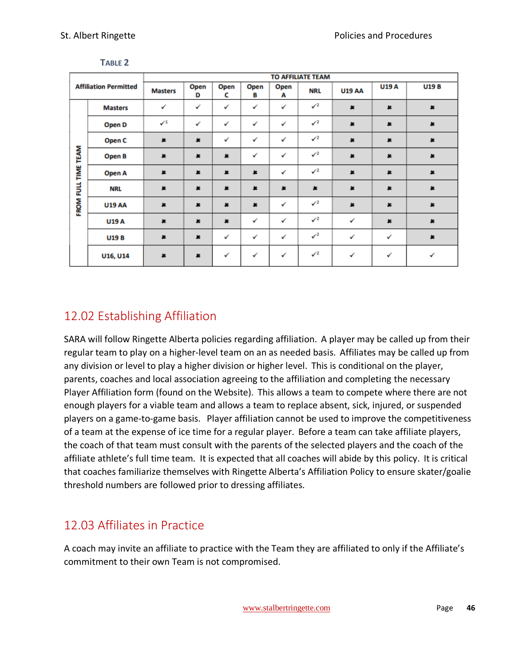|                |                              |                           | <b>TO AFFILIATE TEAM</b> |           |              |              |                 |               |              |              |  |  |
|----------------|------------------------------|---------------------------|--------------------------|-----------|--------------|--------------|-----------------|---------------|--------------|--------------|--|--|
|                | <b>Affiliation Permitted</b> | <b>Masters</b>            | Open<br>D                | Open<br>c | Open<br>в    | Open<br>А    | <b>NRL</b>      | <b>U19 AA</b> | <b>U19A</b>  | <b>U19B</b>  |  |  |
|                | <b>Masters</b>               | ✓                         | ✓                        | ✓         | ✓            | ✓            | $\sqrt{2}$      | $\pmb{\ast}$  | $\pmb{\ast}$ | $\pmb{\ast}$ |  |  |
|                | Open D                       | $\checkmark$ <sup>1</sup> | ✓                        | ✓         | ✓            | ✓            | $\checkmark$    | $\pmb{x}$     | $\pmb{x}$    | $\star$      |  |  |
|                | Open C                       | $\pmb{\ast}$              | $\pmb{\ast}$             | ✓         | ✓            | ✓            | $\checkmark$    | $\pmb{\ast}$  | $\pmb{\ast}$ | $\pmb{\ast}$ |  |  |
| FULL TIME TEAM | Open B                       | $\pmb{x}$                 | $\pmb{x}$                | $\pmb{x}$ | ✓            | $\checkmark$ | $\mathcal{S}^2$ | $\pmb{x}$     | $\pmb{x}$    | $\pmb{x}$    |  |  |
|                | Open A                       | $\pmb{x}$                 | $\pmb{x}$                | $\pmb{x}$ | $\pmb{x}$    | ✓            | $\sqrt{2}$      | $\pmb{x}$     | $\pmb{\ast}$ | $\pmb{x}$    |  |  |
|                | <b>NRL</b>                   | $\pmb{x}$                 | $\pmb{x}$                | $\pmb{x}$ | $\pmb{x}$    | $\pmb{x}$    | $\pmb{x}$       | $\pmb{x}$     | $\pmb{x}$    | $\pmb{x}$    |  |  |
| FROM           | <b>U19 AA</b>                | $\pmb{\ast}$              | $\pmb{\ast}$             | $\pmb{x}$ | $\pmb{\ast}$ | $\checkmark$ | $\sqrt{2}$      | $\pmb{\ast}$  | $\pmb{\ast}$ | $\pmb{\ast}$ |  |  |
|                | <b>U19 A</b>                 | $\ast$                    | $\pmb{x}$                | $\ast$    | ✓            | ✓            | $\mathcal{S}^2$ | ✓             | $\pmb{\ast}$ | $\pmb{\ast}$ |  |  |
|                | <b>U19B</b>                  | $\ast$                    | $\pmb{x}$                | ✓         | ✓            | ✓            | $\checkmark^2$  | ✓             | ✓            | $\pmb{x}$    |  |  |
|                | U16, U14                     | $\pmb{x}$                 | $\pmb{x}$                | ✓         | √            | $\checkmark$ | $\mathcal{S}^2$ | ✓             | ✓            | ✓            |  |  |

**TABLE 2**

### <span id="page-46-0"></span>12.02 Establishing Affiliation

SARA will follow Ringette Alberta policies regarding affiliation. A player may be called up from their regular team to play on a higher-level team on an as needed basis. Affiliates may be called up from any division or level to play a higher division or higher level. This is conditional on the player, parents, coaches and local association agreeing to the affiliation and completing the necessary Player Affiliation form (found on the Website). This allows a team to compete where there are not enough players for a viable team and allows a team to replace absent, sick, injured, or suspended players on a game-to-game basis. Player affiliation cannot be used to improve the competitiveness of a team at the expense of ice time for a regular player. Before a team can take affiliate players, the coach of that team must consult with the parents of the selected players and the coach of the affiliate athlete's full time team. It is expected that all coaches will abide by this policy. It is critical that coaches familiarize themselves with Ringette Alberta's Affiliation Policy to ensure skater/goalie threshold numbers are followed prior to dressing affiliates.

# <span id="page-46-1"></span>12.03 Affiliates in Practice

A coach may invite an affiliate to practice with the Team they are affiliated to only if the Affiliate's commitment to their own Team is not compromised.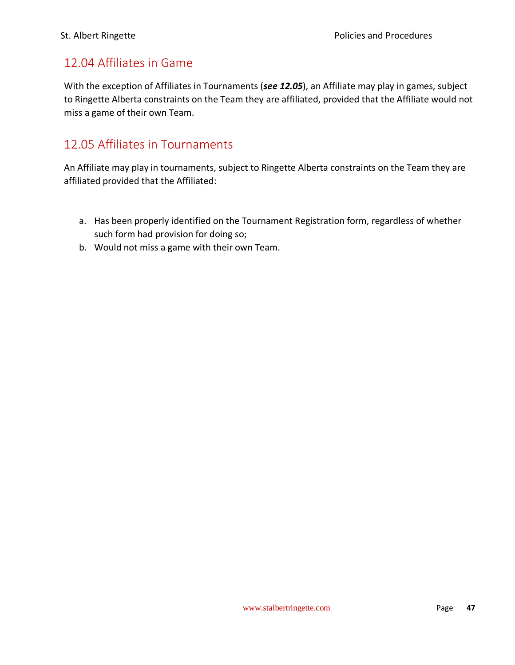### <span id="page-47-0"></span>12.04 Affiliates in Game

With the exception of Affiliates in Tournaments (*see 12.05*), an Affiliate may play in games, subject to Ringette Alberta constraints on the Team they are affiliated, provided that the Affiliate would not miss a game of their own Team.

### <span id="page-47-1"></span>12.05 Affiliates in Tournaments

An Affiliate may play in tournaments, subject to Ringette Alberta constraints on the Team they are affiliated provided that the Affiliated:

- a. Has been properly identified on the Tournament Registration form, regardless of whether such form had provision for doing so;
- b. Would not miss a game with their own Team.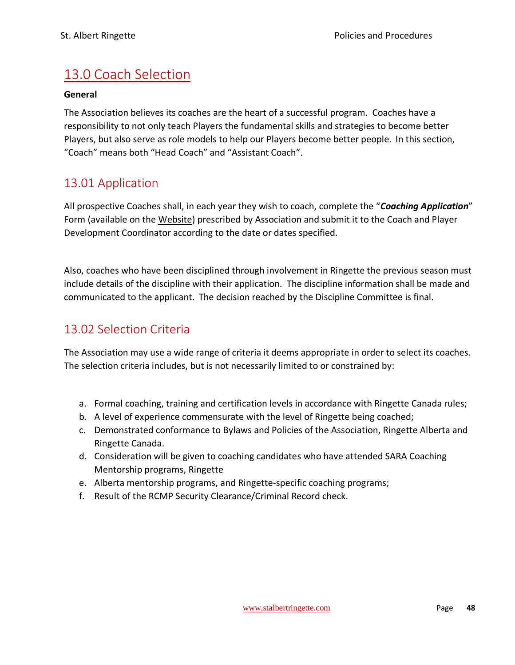# <span id="page-48-0"></span>13.0 Coach Selection

#### **General**

The Association believes its coaches are the heart of a successful program. Coaches have a responsibility to not only teach Players the fundamental skills and strategies to become better Players, but also serve as role models to help our Players become better people. In this section, "Coach" means both "Head Coach" and "Assistant Coach".

### <span id="page-48-1"></span>13.01 Application

All prospective Coaches shall, in each year they wish to coach, complete the "*Coaching Application*" Form (available on the Website) prescribed by Association and submit it to the Coach and Player Development Coordinator according to the date or dates specified.

Also, coaches who have been disciplined through involvement in Ringette the previous season must include details of the discipline with their application. The discipline information shall be made and communicated to the applicant. The decision reached by the Discipline Committee is final.

### <span id="page-48-2"></span>13.02 Selection Criteria

The Association may use a wide range of criteria it deems appropriate in order to select its coaches. The selection criteria includes, but is not necessarily limited to or constrained by:

- a. Formal coaching, training and certification levels in accordance with Ringette Canada rules;
- b. A level of experience commensurate with the level of Ringette being coached;
- c. Demonstrated conformance to Bylaws and Policies of the Association, Ringette Alberta and Ringette Canada.
- d. Consideration will be given to coaching candidates who have attended SARA Coaching Mentorship programs, Ringette
- e. Alberta mentorship programs, and Ringette-specific coaching programs;
- f. Result of the RCMP Security Clearance/Criminal Record check.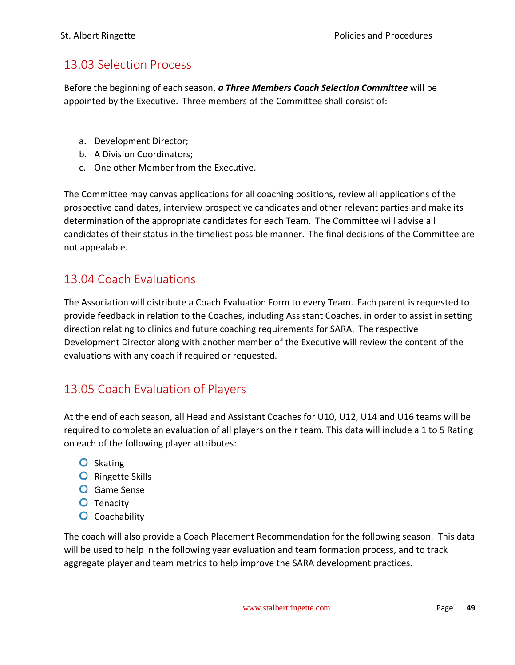### <span id="page-49-0"></span>13.03 Selection Process

Before the beginning of each season, *a Three Members Coach Selection Committee* will be appointed by the Executive. Three members of the Committee shall consist of:

- a. Development Director;
- b. A Division Coordinators;
- c. One other Member from the Executive.

The Committee may canvas applications for all coaching positions, review all applications of the prospective candidates, interview prospective candidates and other relevant parties and make its determination of the appropriate candidates for each Team. The Committee will advise all candidates of their status in the timeliest possible manner. The final decisions of the Committee are not appealable.

### <span id="page-49-1"></span>13.04 Coach Evaluations

The Association will distribute a Coach Evaluation Form to every Team. Each parent is requested to provide feedback in relation to the Coaches, including Assistant Coaches, in order to assist in setting direction relating to clinics and future coaching requirements for SARA. The respective Development Director along with another member of the Executive will review the content of the evaluations with any coach if required or requested.

### <span id="page-49-2"></span>13.05 Coach Evaluation of Players

At the end of each season, all Head and Assistant Coaches for U10, U12, U14 and U16 teams will be required to complete an evaluation of all players on their team. This data will include a 1 to 5 Rating on each of the following player attributes:

- **O** Skating
- **O** Ringette Skills
- **O** Game Sense
- **O** Tenacity
- **O** Coachability

The coach will also provide a Coach Placement Recommendation for the following season. This data will be used to help in the following year evaluation and team formation process, and to track aggregate player and team metrics to help improve the SARA development practices.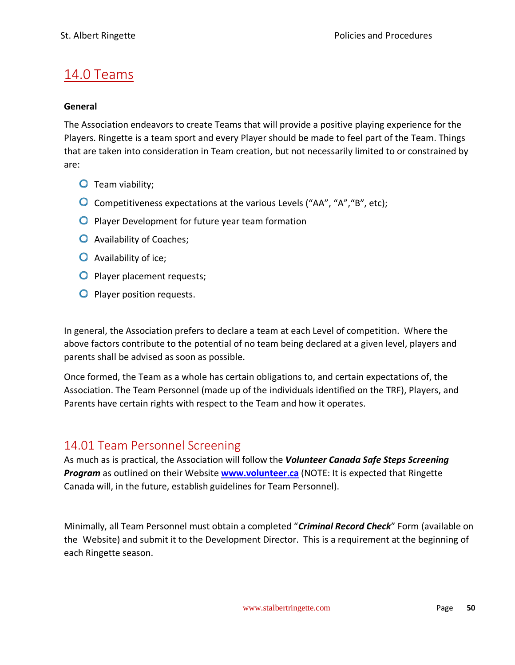### <span id="page-50-0"></span>14.0 Teams

#### **General**

The Association endeavors to create Teams that will provide a positive playing experience for the Players. Ringette is a team sport and every Player should be made to feel part of the Team. Things that are taken into consideration in Team creation, but not necessarily limited to or constrained by are:

- **O** Team viability;
- Competitiveness expectations at the various Levels ("AA", "A","B", etc);
- **O** Player Development for future year team formation
- **O** Availability of Coaches;
- **O** Availability of ice;
- **O** Player placement requests;
- **O** Player position requests.

In general, the Association prefers to declare a team at each Level of competition. Where the above factors contribute to the potential of no team being declared at a given level, players and parents shall be advised as soon as possible.

Once formed, the Team as a whole has certain obligations to, and certain expectations of, the Association. The Team Personnel (made up of the individuals identified on the TRF), Players, and Parents have certain rights with respect to the Team and how it operates.

### <span id="page-50-1"></span>14.01 Team Personnel Screening

As much as is practical, the Association will follow the *Volunteer Canada Safe Steps Screening Program* as outlined on their Website **[www.volunteer.ca](http://www.volunteer.ca/)** (NOTE: It is expected that Ringette Canada will, in the future, establish guidelines for Team Personnel).

Minimally, all Team Personnel must obtain a completed "*Criminal Record Check*" Form (available on the Website) and submit it to the Development Director. This is a requirement at the beginning of each Ringette season.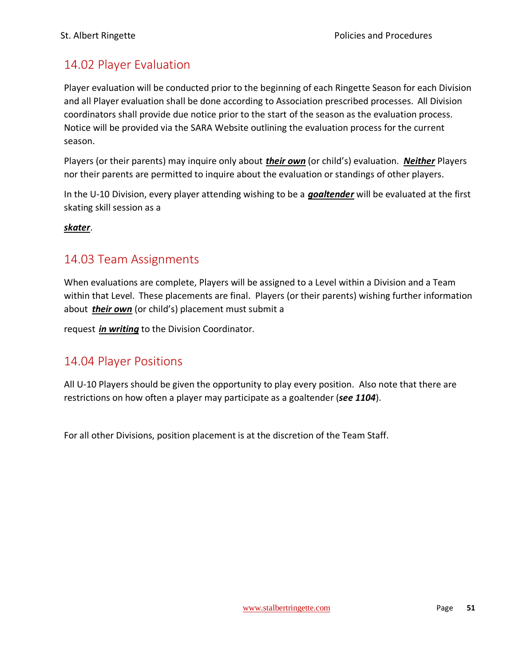# <span id="page-51-0"></span>14.02 Player Evaluation

Player evaluation will be conducted prior to the beginning of each Ringette Season for each Division and all Player evaluation shall be done according to Association prescribed processes. All Division coordinators shall provide due notice prior to the start of the season as the evaluation process. Notice will be provided via the SARA Website outlining the evaluation process for the current season.

Players (or their parents) may inquire only about *their own* (or child's) evaluation. *Neither* Players nor their parents are permitted to inquire about the evaluation or standings of other players.

In the U-10 Division, every player attending wishing to be a *goaltender* will be evaluated at the first skating skill session as a

*skater*.

### <span id="page-51-1"></span>14.03 Team Assignments

When evaluations are complete, Players will be assigned to a Level within a Division and a Team within that Level. These placements are final. Players (or their parents) wishing further information about *their own* (or child's) placement must submit a

request *in writing* to the Division Coordinator.

### <span id="page-51-2"></span>14.04 Player Positions

All U-10 Players should be given the opportunity to play every position. Also note that there are restrictions on how often a player may participate as a goaltender (*see 1104*).

For all other Divisions, position placement is at the discretion of the Team Staff.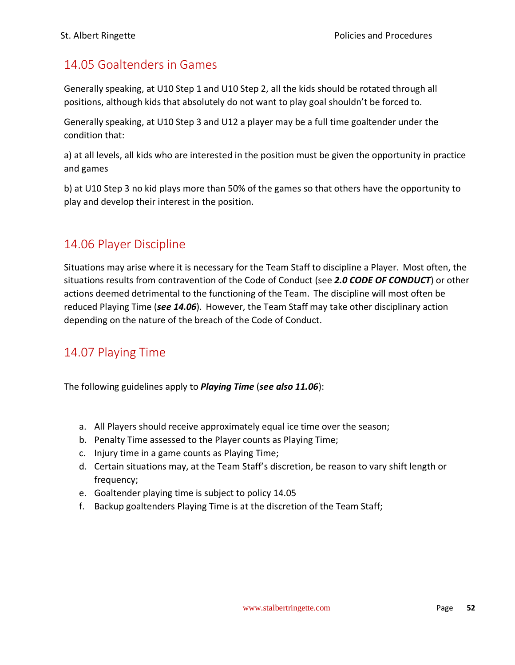### <span id="page-52-0"></span>14.05 Goaltenders in Games

Generally speaking, at U10 Step 1 and U10 Step 2, all the kids should be rotated through all positions, although kids that absolutely do not want to play goal shouldn't be forced to.

Generally speaking, at U10 Step 3 and U12 a player may be a full time goaltender under the condition that:

a) at all levels, all kids who are interested in the position must be given the opportunity in practice and games

b) at U10 Step 3 no kid plays more than 50% of the games so that others have the opportunity to play and develop their interest in the position.

### <span id="page-52-1"></span>14.06 Player Discipline

Situations may arise where it is necessary for the Team Staff to discipline a Player. Most often, the situations results from contravention of the Code of Conduct (see *2.0 CODE OF CONDUCT*) or other actions deemed detrimental to the functioning of the Team. The discipline will most often be reduced Playing Time (*see 14.06*). However, the Team Staff may take other disciplinary action depending on the nature of the breach of the Code of Conduct.

### <span id="page-52-2"></span>14.07 Playing Time

The following guidelines apply to *Playing Time* (*see also 11.06*):

- a. All Players should receive approximately equal ice time over the season;
- b. Penalty Time assessed to the Player counts as Playing Time;
- c. Injury time in a game counts as Playing Time;
- d. Certain situations may, at the Team Staff's discretion, be reason to vary shift length or frequency;
- e. Goaltender playing time is subject to policy 14.05
- f. Backup goaltenders Playing Time is at the discretion of the Team Staff;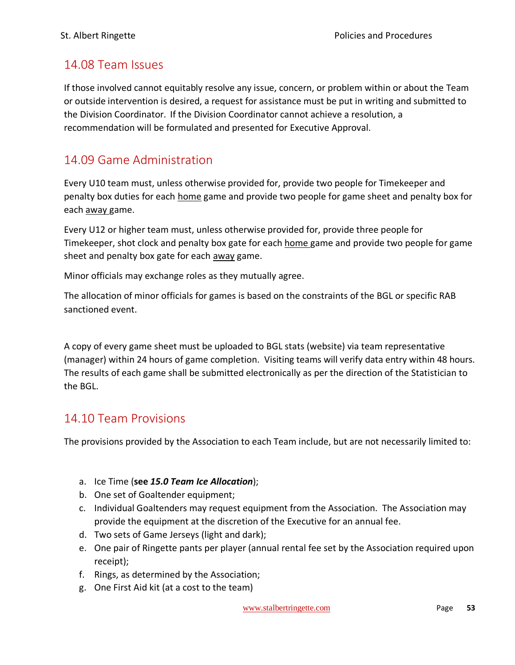### <span id="page-53-0"></span>14.08 Team Issues

If those involved cannot equitably resolve any issue, concern, or problem within or about the Team or outside intervention is desired, a request for assistance must be put in writing and submitted to the Division Coordinator. If the Division Coordinator cannot achieve a resolution, a recommendation will be formulated and presented for Executive Approval.

### <span id="page-53-1"></span>14.09 Game Administration

Every U10 team must, unless otherwise provided for, provide two people for Timekeeper and penalty box duties for each home game and provide two people for game sheet and penalty box for each away game.

Every U12 or higher team must, unless otherwise provided for, provide three people for Timekeeper, shot clock and penalty box gate for each home game and provide two people for game sheet and penalty box gate for each away game.

Minor officials may exchange roles as they mutually agree.

The allocation of minor officials for games is based on the constraints of the BGL or specific RAB sanctioned event.

A copy of every game sheet must be uploaded to BGL stats (website) via team representative (manager) within 24 hours of game completion. Visiting teams will verify data entry within 48 hours. The results of each game shall be submitted electronically as per the direction of the Statistician to the BGL.

### <span id="page-53-2"></span>14.10 Team Provisions

The provisions provided by the Association to each Team include, but are not necessarily limited to:

- a. Ice Time (**see** *15.0 Team Ice Allocation*);
- b. One set of Goaltender equipment;
- c. Individual Goaltenders may request equipment from the Association. The Association may provide the equipment at the discretion of the Executive for an annual fee.
- d. Two sets of Game Jerseys (light and dark);
- e. One pair of Ringette pants per player (annual rental fee set by the Association required upon receipt);
- f. Rings, as determined by the Association;
- g. One First Aid kit (at a cost to the team)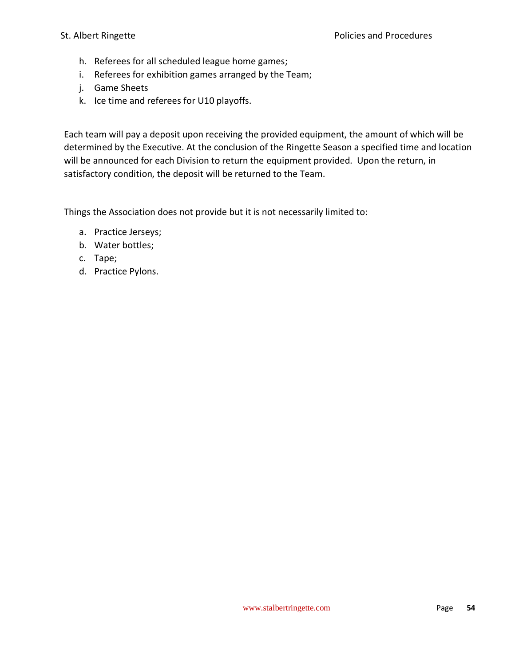- h. Referees for all scheduled league home games;
- i. Referees for exhibition games arranged by the Team;
- j. Game Sheets
- k. Ice time and referees for U10 playoffs.

Each team will pay a deposit upon receiving the provided equipment, the amount of which will be determined by the Executive. At the conclusion of the Ringette Season a specified time and location will be announced for each Division to return the equipment provided. Upon the return, in satisfactory condition, the deposit will be returned to the Team.

Things the Association does not provide but it is not necessarily limited to:

- a. Practice Jerseys;
- b. Water bottles;
- c. Tape;
- d. Practice Pylons.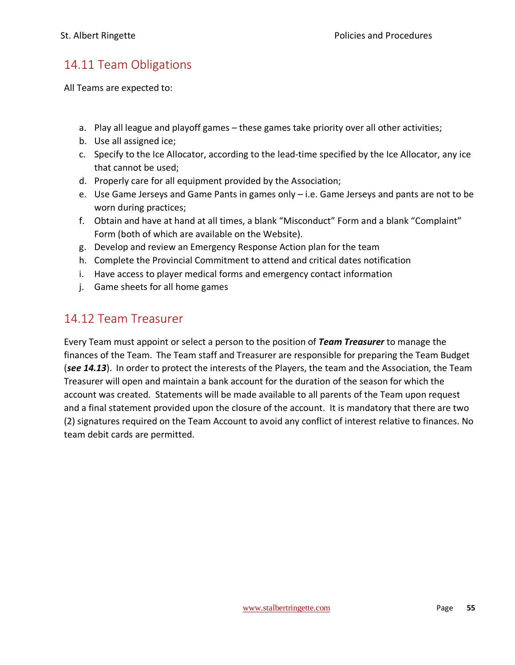### <span id="page-55-0"></span>14.11 Team Obligations

All Teams are expected to:

- a. Play all league and playoff games these games take priority over all other activities;
- b. Use all assigned ice;
- c. Specify to the Ice Allocator, according to the lead-time specified by the Ice Allocator, any ice that cannot be used;
- d. Properly care for all equipment provided by the Association;
- e. Use Game Jerseys and Game Pants in games only i.e. Game Jerseys and pants are not to be worn during practices;
- f. Obtain and have at hand at all times, a blank "Misconduct" Form and a blank "Complaint" Form (both of which are available on the Website).
- g. Develop and review an Emergency Response Action plan for the team
- h. Complete the Provincial Commitment to attend and critical dates notification
- i. Have access to player medical forms and emergency contact information
- j. Game sheets for all home games

### <span id="page-55-1"></span>14.12 Team Treasurer

Every Team must appoint or select a person to the position of *Team Treasurer* to manage the finances of the Team. The Team staff and Treasurer are responsible for preparing the Team Budget (*see 14.13*). In order to protect the interests of the Players, the team and the Association, the Team Treasurer will open and maintain a bank account for the duration of the season for which the account was created. Statements will be made available to all parents of the Team upon request and a final statement provided upon the closure of the account. It is mandatory that there are two (2) signatures required on the Team Account to avoid any conflict of interest relative to finances. No team debit cards are permitted.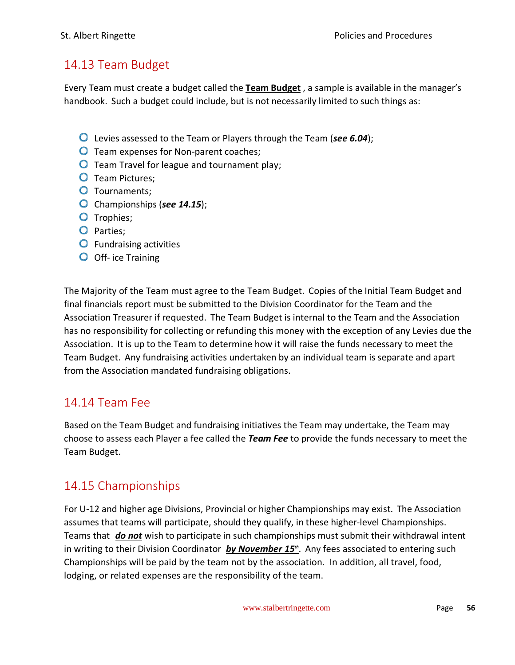### <span id="page-56-0"></span>14.13 Team Budget

Every Team must create a budget called the **Team Budget** , a sample is available in the manager's handbook. Such a budget could include, but is not necessarily limited to such things as:

- Levies assessed to the Team or Players through the Team (*see 6.04*);
- **O** Team expenses for Non-parent coaches;
- **O** Team Travel for league and tournament play;
- **O** Team Pictures;
- **O** Tournaments:
- Championships (*see 14.15*);
- O Trophies;
- O Parties;
- **O** Fundraising activities
- **O** Off- ice Training

The Majority of the Team must agree to the Team Budget. Copies of the Initial Team Budget and final financials report must be submitted to the Division Coordinator for the Team and the Association Treasurer if requested. The Team Budget is internal to the Team and the Association has no responsibility for collecting or refunding this money with the exception of any Levies due the Association. It is up to the Team to determine how it will raise the funds necessary to meet the Team Budget. Any fundraising activities undertaken by an individual team is separate and apart from the Association mandated fundraising obligations.

### <span id="page-56-1"></span>14.14 Team Fee

Based on the Team Budget and fundraising initiatives the Team may undertake, the Team may choose to assess each Player a fee called the *Team Fee* to provide the funds necessary to meet the Team Budget.

### <span id="page-56-2"></span>14.15 Championships

For U-12 and higher age Divisions, Provincial or higher Championships may exist. The Association assumes that teams will participate, should they qualify, in these higher-level Championships. Teams that *do not* wish to participate in such championships must submit their withdrawal intent in writing to their Division Coordinator **by November 15<sup>th</sup>**. Any fees associated to entering such Championships will be paid by the team not by the association. In addition, all travel, food, lodging, or related expenses are the responsibility of the team.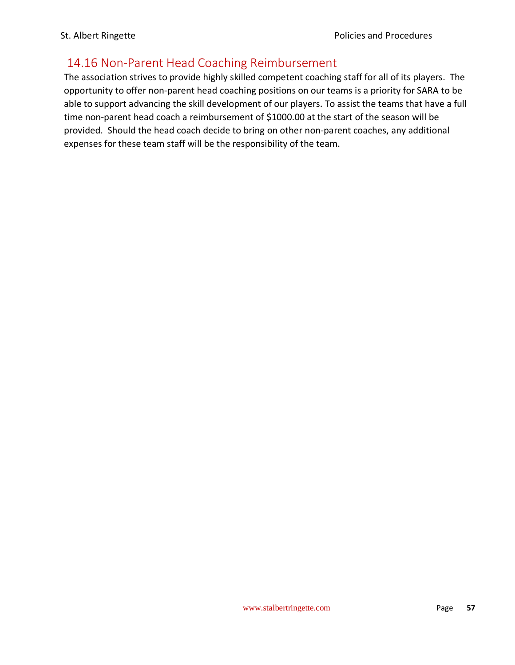# <span id="page-57-0"></span>14.16 Non-Parent Head Coaching Reimbursement

The association strives to provide highly skilled competent coaching staff for all of its players. The opportunity to offer non-parent head coaching positions on our teams is a priority for SARA to be able to support advancing the skill development of our players. To assist the teams that have a full time non-parent head coach a reimbursement of \$1000.00 at the start of the season will be provided. Should the head coach decide to bring on other non-parent coaches, any additional expenses for these team staff will be the responsibility of the team.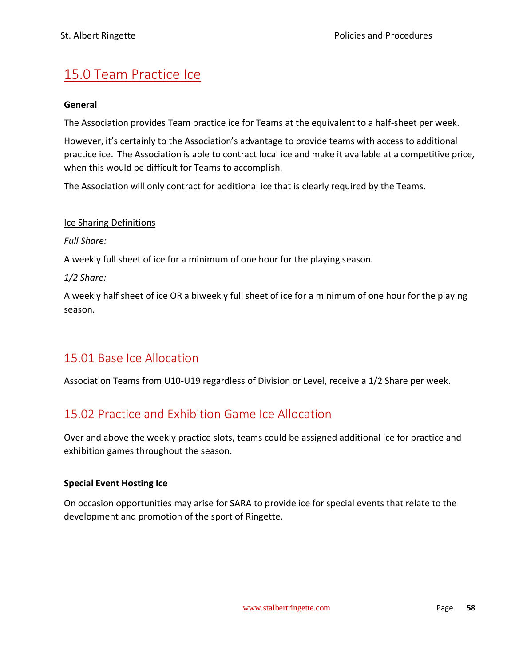# <span id="page-58-0"></span>15.0 Team Practice Ice

#### **General**

The Association provides Team practice ice for Teams at the equivalent to a half-sheet per week.

However, it's certainly to the Association's advantage to provide teams with access to additional practice ice. The Association is able to contract local ice and make it available at a competitive price, when this would be difficult for Teams to accomplish.

The Association will only contract for additional ice that is clearly required by the Teams.

#### Ice Sharing Definitions

*Full Share:*

A weekly full sheet of ice for a minimum of one hour for the playing season.

*1/2 Share:*

A weekly half sheet of ice OR a biweekly full sheet of ice for a minimum of one hour for the playing season.

### <span id="page-58-1"></span>15.01 Base Ice Allocation

Association Teams from U10-U19 regardless of Division or Level, receive a 1/2 Share per week.

### <span id="page-58-2"></span>15.02 Practice and Exhibition Game Ice Allocation

Over and above the weekly practice slots, teams could be assigned additional ice for practice and exhibition games throughout the season.

#### **Special Event Hosting Ice**

On occasion opportunities may arise for SARA to provide ice for special events that relate to the development and promotion of the sport of Ringette.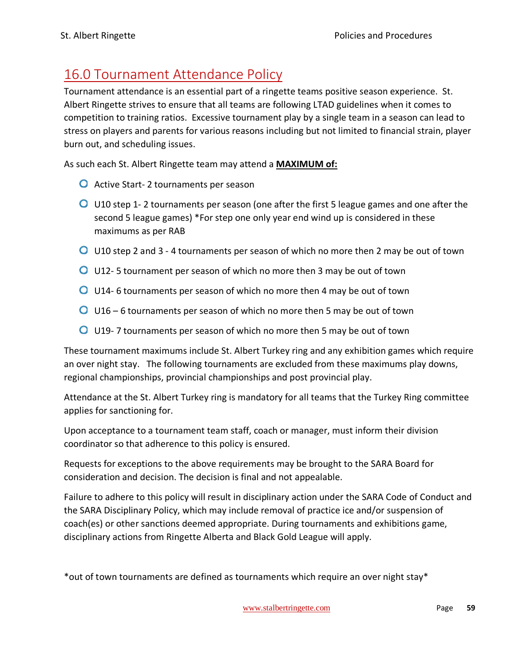# <span id="page-59-0"></span>16.0 Tournament Attendance Policy

Tournament attendance is an essential part of a ringette teams positive season experience. St. Albert Ringette strives to ensure that all teams are following LTAD guidelines when it comes to competition to training ratios. Excessive tournament play by a single team in a season can lead to stress on players and parents for various reasons including but not limited to financial strain, player burn out, and scheduling issues.

As such each St. Albert Ringette team may attend a **MAXIMUM of:**

- **O** Active Start- 2 tournaments per season
- U10 step 1- 2 tournaments per season (one after the first 5 league games and one after the second 5 league games) \*For step one only year end wind up is considered in these maximums as per RAB
- U10 step 2 and 3 4 tournaments per season of which no more then 2 may be out of town
- U12- 5 tournament per season of which no more then 3 may be out of town
- U14- 6 tournaments per season of which no more then 4 may be out of town
- U16 6 tournaments per season of which no more then 5 may be out of town
- **O** U19-7 tournaments per season of which no more then 5 may be out of town

These tournament maximums include St. Albert Turkey ring and any exhibition games which require an over night stay. The following tournaments are excluded from these maximums play downs, regional championships, provincial championships and post provincial play.

Attendance at the St. Albert Turkey ring is mandatory for all teams that the Turkey Ring committee applies for sanctioning for.

Upon acceptance to a tournament team staff, coach or manager, must inform their division coordinator so that adherence to this policy is ensured.

Requests for exceptions to the above requirements may be brought to the SARA Board for consideration and decision. The decision is final and not appealable.

Failure to adhere to this policy will result in disciplinary action under the SARA Code of Conduct and the SARA Disciplinary Policy, which may include removal of practice ice and/or suspension of coach(es) or other sanctions deemed appropriate. During tournaments and exhibitions game, disciplinary actions from Ringette Alberta and Black Gold League will apply.

\*out of town tournaments are defined as tournaments which require an over night stay\*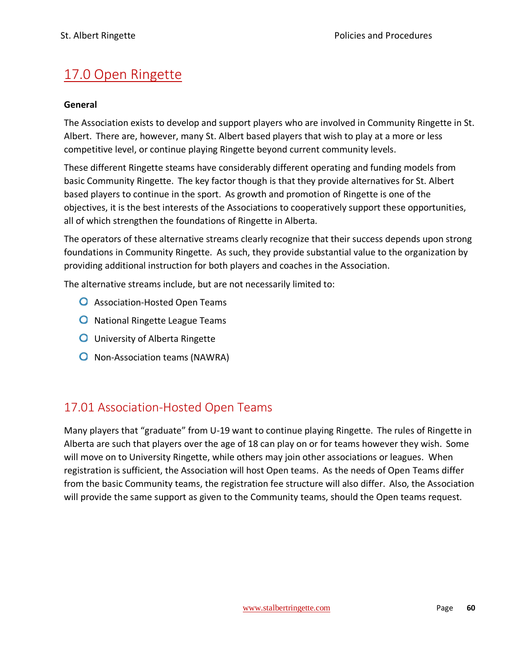# <span id="page-60-0"></span>17.0 Open Ringette

#### **General**

The Association exists to develop and support players who are involved in Community Ringette in St. Albert. There are, however, many St. Albert based players that wish to play at a more or less competitive level, or continue playing Ringette beyond current community levels.

These different Ringette steams have considerably different operating and funding models from basic Community Ringette. The key factor though is that they provide alternatives for St. Albert based players to continue in the sport. As growth and promotion of Ringette is one of the objectives, it is the best interests of the Associations to cooperatively support these opportunities, all of which strengthen the foundations of Ringette in Alberta.

The operators of these alternative streams clearly recognize that their success depends upon strong foundations in Community Ringette. As such, they provide substantial value to the organization by providing additional instruction for both players and coaches in the Association.

The alternative streams include, but are not necessarily limited to:

- **O** Association-Hosted Open Teams
- **O** National Ringette League Teams
- **O** University of Alberta Ringette
- **O** Non-Association teams (NAWRA)

### <span id="page-60-1"></span>17.01 Association-Hosted Open Teams

Many players that "graduate" from U-19 want to continue playing Ringette. The rules of Ringette in Alberta are such that players over the age of 18 can play on or for teams however they wish. Some will move on to University Ringette, while others may join other associations or leagues. When registration is sufficient, the Association will host Open teams. As the needs of Open Teams differ from the basic Community teams, the registration fee structure will also differ. Also, the Association will provide the same support as given to the Community teams, should the Open teams request.